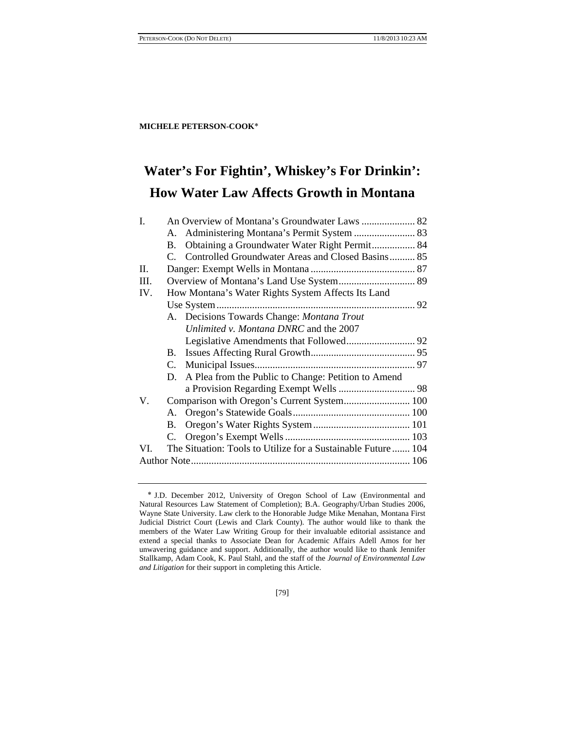# **Water's For Fightin', Whiskey's For Drinkin': How Water Law Affects Growth in Montana**

| I.           | An Overview of Montana's Groundwater Laws  82      |                                                              |  |  |
|--------------|----------------------------------------------------|--------------------------------------------------------------|--|--|
|              | A.                                                 |                                                              |  |  |
|              | B.                                                 | Obtaining a Groundwater Water Right Permit 84                |  |  |
|              | $\mathcal{C}$                                      | Controlled Groundwater Areas and Closed Basins 85            |  |  |
| $\mathbf{H}$ |                                                    |                                                              |  |  |
| III.         |                                                    | Overview of Montana's Land Use System 89                     |  |  |
| IV.          | How Montana's Water Rights System Affects Its Land |                                                              |  |  |
|              |                                                    |                                                              |  |  |
|              |                                                    | A. Decisions Towards Change: Montana Trout                   |  |  |
|              |                                                    | Unlimited v. Montana DNRC and the 2007                       |  |  |
|              |                                                    |                                                              |  |  |
|              | В.                                                 |                                                              |  |  |
|              |                                                    |                                                              |  |  |
|              | D.                                                 | A Plea from the Public to Change: Petition to Amend          |  |  |
|              |                                                    |                                                              |  |  |
| V.           | Comparison with Oregon's Current System 100        |                                                              |  |  |
|              | A.                                                 |                                                              |  |  |
|              | В.                                                 |                                                              |  |  |
|              | C.                                                 |                                                              |  |  |
| VI.          |                                                    | The Situation: Tools to Utilize for a Sustainable Future 104 |  |  |
|              |                                                    |                                                              |  |  |
|              |                                                    |                                                              |  |  |

[79]

J.D. December 2012, University of Oregon School of Law (Environmental and Natural Resources Law Statement of Completion); B.A. Geography/Urban Studies 2006, Wayne State University. Law clerk to the Honorable Judge Mike Menahan, Montana First Judicial District Court (Lewis and Clark County). The author would like to thank the members of the Water Law Writing Group for their invaluable editorial assistance and extend a special thanks to Associate Dean for Academic Affairs Adell Amos for her unwavering guidance and support. Additionally, the author would like to thank Jennifer Stallkamp, Adam Cook, K. Paul Stahl, and the staff of the *Journal of Environmental Law and Litigation* for their support in completing this Article.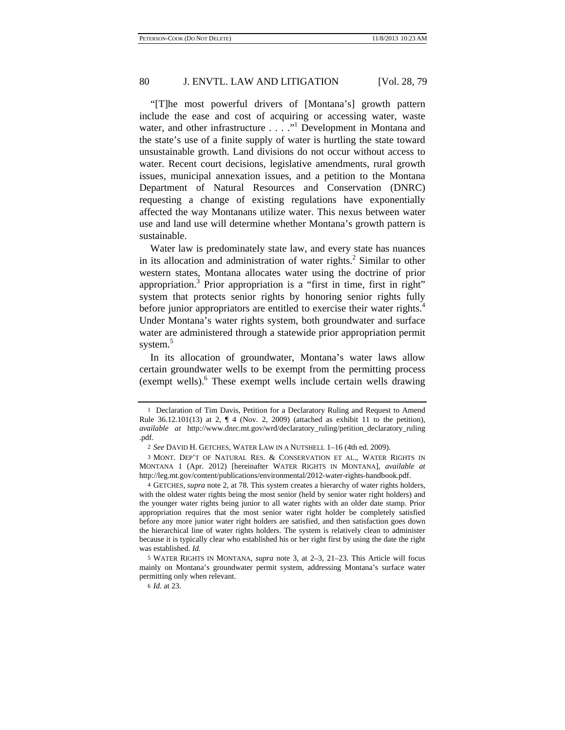"[T]he most powerful drivers of [Montana's] growth pattern include the ease and cost of acquiring or accessing water, waste water, and other infrastructure . . . ."<sup>1</sup> Development in Montana and the state's use of a finite supply of water is hurtling the state toward unsustainable growth. Land divisions do not occur without access to water. Recent court decisions, legislative amendments, rural growth issues, municipal annexation issues, and a petition to the Montana Department of Natural Resources and Conservation (DNRC) requesting a change of existing regulations have exponentially affected the way Montanans utilize water. This nexus between water use and land use will determine whether Montana's growth pattern is sustainable.

Water law is predominately state law, and every state has nuances in its allocation and administration of water rights. $2$  Similar to other western states, Montana allocates water using the doctrine of prior appropriation.<sup>3</sup> Prior appropriation is a "first in time, first in right" system that protects senior rights by honoring senior rights fully before junior appropriators are entitled to exercise their water rights.<sup>4</sup> Under Montana's water rights system, both groundwater and surface water are administered through a statewide prior appropriation permit system.<sup>5</sup>

In its allocation of groundwater, Montana's water laws allow certain groundwater wells to be exempt from the permitting process (exempt wells).6 These exempt wells include certain wells drawing

<sup>1</sup> Declaration of Tim Davis, Petition for a Declaratory Ruling and Request to Amend Rule  $36.12.101(13)$  at  $2, \P 4$  (Nov. 2, 2009) (attached as exhibit 11 to the petition), *available at* http://www.dnrc.mt.gov/wrd/declaratory\_ruling/petition\_declaratory\_ruling .pdf.

<sup>2</sup> *See* DAVID H. GETCHES, WATER LAW IN A NUTSHELL 1–16 (4th ed. 2009).

<sup>3</sup> MONT. DEP'T OF NATURAL RES. & CONSERVATION ET AL., WATER RIGHTS IN MONTANA 1 (Apr. 2012) [hereinafter WATER RIGHTS IN MONTANA], *available at*  http://leg.mt.gov/content/publications/environmental/2012-water-rights-handbook.pdf.

<sup>4</sup> GETCHES, *supra* note 2, at 78. This system creates a hierarchy of water rights holders, with the oldest water rights being the most senior (held by senior water right holders) and the younger water rights being junior to all water rights with an older date stamp. Prior appropriation requires that the most senior water right holder be completely satisfied before any more junior water right holders are satisfied, and then satisfaction goes down the hierarchical line of water rights holders. The system is relatively clean to administer because it is typically clear who established his or her right first by using the date the right was established. *Id.* 

<sup>5</sup> WATER RIGHTS IN MONTANA, *supra* note 3, at 2–3, 21–23. This Article will focus mainly on Montana's groundwater permit system, addressing Montana's surface water permitting only when relevant.

<sup>6</sup> *Id.* at 23.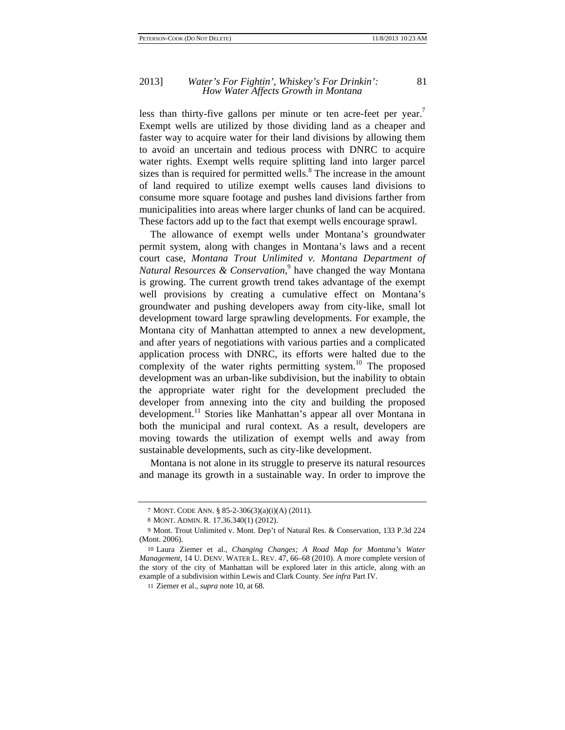#### 2013] *Water's For Fightin', Whiskey's For Drinkin':* 81 *How Water Affects Growth in Montana*

less than thirty-five gallons per minute or ten acre-feet per year.<sup>7</sup> Exempt wells are utilized by those dividing land as a cheaper and faster way to acquire water for their land divisions by allowing them to avoid an uncertain and tedious process with DNRC to acquire water rights. Exempt wells require splitting land into larger parcel sizes than is required for permitted wells. ${}^{8}$  The increase in the amount of land required to utilize exempt wells causes land divisions to consume more square footage and pushes land divisions farther from municipalities into areas where larger chunks of land can be acquired. These factors add up to the fact that exempt wells encourage sprawl.

The allowance of exempt wells under Montana's groundwater permit system, along with changes in Montana's laws and a recent court case, *Montana Trout Unlimited v. Montana Department of*  Natural Resources & Conservation,<sup>9</sup> have changed the way Montana is growing. The current growth trend takes advantage of the exempt well provisions by creating a cumulative effect on Montana's groundwater and pushing developers away from city-like, small lot development toward large sprawling developments. For example, the Montana city of Manhattan attempted to annex a new development, and after years of negotiations with various parties and a complicated application process with DNRC, its efforts were halted due to the complexity of the water rights permitting system.<sup>10</sup> The proposed development was an urban-like subdivision, but the inability to obtain the appropriate water right for the development precluded the developer from annexing into the city and building the proposed development.<sup>11</sup> Stories like Manhattan's appear all over Montana in both the municipal and rural context. As a result, developers are moving towards the utilization of exempt wells and away from sustainable developments, such as city-like development.

Montana is not alone in its struggle to preserve its natural resources and manage its growth in a sustainable way. In order to improve the

<sup>7</sup> MONT. CODE ANN. § 85-2-306(3)(a)(i)(A) (2011).

<sup>8</sup> MONT. ADMIN. R. 17.36.340(1) (2012).

<sup>9</sup> Mont. Trout Unlimited v. Mont. Dep't of Natural Res. & Conservation, 133 P.3d 224 (Mont. 2006).

<sup>10</sup> Laura Ziemer et al., *Changing Changes; A Road Map for Montana's Water Management*, 14 U. DENV. WATER L. REV. 47, 66–68 (2010). A more complete version of the story of the city of Manhattan will be explored later in this article, along with an example of a subdivision within Lewis and Clark County. *See infra* Part IV.

<sup>11</sup> Ziemer et al., *supra* note 10, at 68.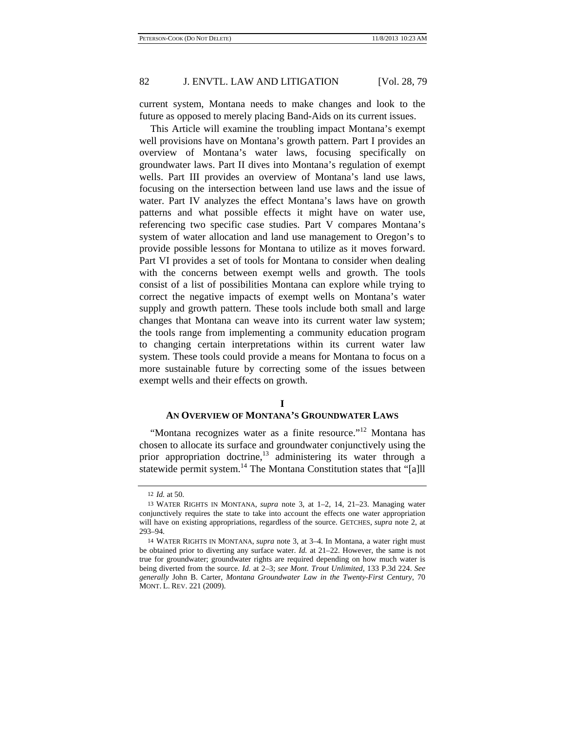current system, Montana needs to make changes and look to the future as opposed to merely placing Band-Aids on its current issues.

This Article will examine the troubling impact Montana's exempt well provisions have on Montana's growth pattern. Part I provides an overview of Montana's water laws, focusing specifically on groundwater laws. Part II dives into Montana's regulation of exempt wells. Part III provides an overview of Montana's land use laws, focusing on the intersection between land use laws and the issue of water. Part IV analyzes the effect Montana's laws have on growth patterns and what possible effects it might have on water use, referencing two specific case studies. Part V compares Montana's system of water allocation and land use management to Oregon's to provide possible lessons for Montana to utilize as it moves forward. Part VI provides a set of tools for Montana to consider when dealing with the concerns between exempt wells and growth. The tools consist of a list of possibilities Montana can explore while trying to correct the negative impacts of exempt wells on Montana's water supply and growth pattern. These tools include both small and large changes that Montana can weave into its current water law system; the tools range from implementing a community education program to changing certain interpretations within its current water law system. These tools could provide a means for Montana to focus on a more sustainable future by correcting some of the issues between exempt wells and their effects on growth.

### **I**

### **AN OVERVIEW OF MONTANA'S GROUNDWATER LAWS**

"Montana recognizes water as a finite resource."<sup>12</sup> Montana has chosen to allocate its surface and groundwater conjunctively using the prior appropriation doctrine,<sup>13</sup> administering its water through a statewide permit system.<sup>14</sup> The Montana Constitution states that "[a]ll

<sup>12</sup> *Id.* at 50.

<sup>13</sup> WATER RIGHTS IN MONTANA, *supra* note 3, at 1–2, 14, 21–23. Managing water conjunctively requires the state to take into account the effects one water appropriation will have on existing appropriations, regardless of the source. GETCHES, *supra* note 2, at 293–94.

<sup>14</sup> WATER RIGHTS IN MONTANA, *supra* note 3, at 3–4. In Montana, a water right must be obtained prior to diverting any surface water. *Id.* at 21–22. However, the same is not true for groundwater; groundwater rights are required depending on how much water is being diverted from the source. *Id.* at 2–3; *see Mont. Trout Unlimited*, 133 P.3d 224. *See generally* John B. Carter, *Montana Groundwater Law in the Twenty-First Century*, 70 MONT. L. REV. 221 (2009).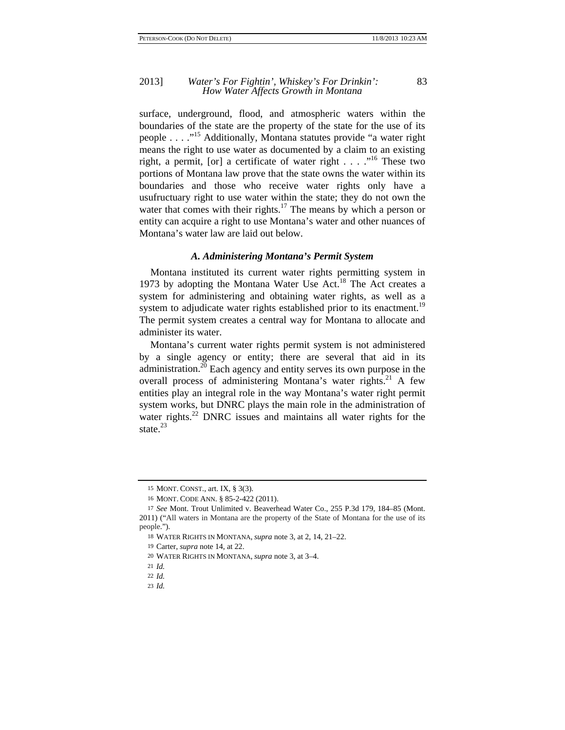surface, underground, flood, and atmospheric waters within the boundaries of the state are the property of the state for the use of its people . . . ."15 Additionally, Montana statutes provide "a water right means the right to use water as documented by a claim to an existing right, a permit, [or] a certificate of water right . . . ."16 These two portions of Montana law prove that the state owns the water within its boundaries and those who receive water rights only have a usufructuary right to use water within the state; they do not own the water that comes with their rights.<sup>17</sup> The means by which a person or entity can acquire a right to use Montana's water and other nuances of Montana's water law are laid out below.

### *A. Administering Montana's Permit System*

Montana instituted its current water rights permitting system in 1973 by adopting the Montana Water Use Act.<sup>18</sup> The Act creates a system for administering and obtaining water rights, as well as a system to adjudicate water rights established prior to its enactment.<sup>19</sup> The permit system creates a central way for Montana to allocate and administer its water.

Montana's current water rights permit system is not administered by a single agency or entity; there are several that aid in its administration.20 Each agency and entity serves its own purpose in the overall process of administering Montana's water rights.<sup>21</sup> A few entities play an integral role in the way Montana's water right permit system works, but DNRC plays the main role in the administration of water rights.<sup>22</sup> DNRC issues and maintains all water rights for the state. $^{23}$ 

<sup>15</sup> MONT. CONST., art. IX, § 3(3).

<sup>16</sup> MONT. CODE ANN. § 85-2-422 (2011).

<sup>17</sup> *See* Mont. Trout Unlimited v. Beaverhead Water Co., 255 P.3d 179, 184–85 (Mont. 2011) ("All waters in Montana are the property of the State of Montana for the use of its people.").

<sup>18</sup> WATER RIGHTS IN MONTANA, *supra* note 3, at 2, 14, 21–22.

<sup>19</sup> Carter, *supra* note 14, at 22.

<sup>20</sup> WATER RIGHTS IN MONTANA, *supra* note 3, at 3–4.

<sup>21</sup> *Id.*

<sup>22</sup> *Id.*

<sup>23</sup> *Id.*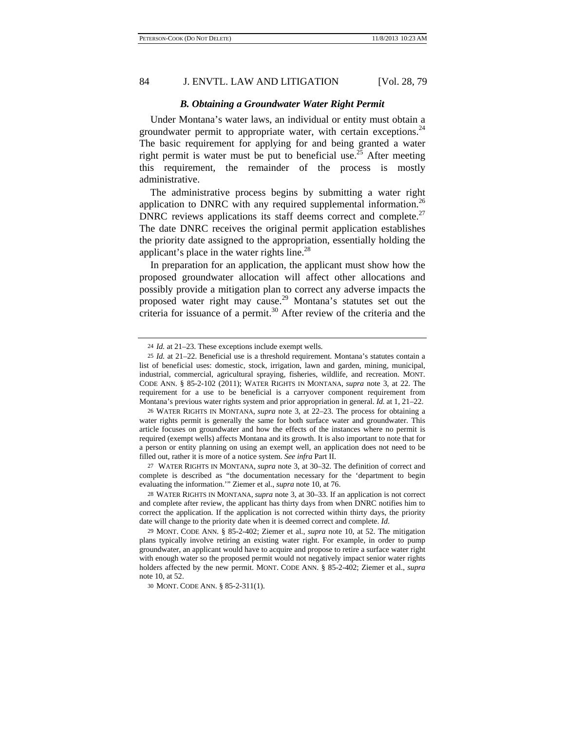### *B. Obtaining a Groundwater Water Right Permit*

Under Montana's water laws, an individual or entity must obtain a groundwater permit to appropriate water, with certain exceptions.  $24$ The basic requirement for applying for and being granted a water right permit is water must be put to beneficial use.<sup>25</sup> After meeting this requirement, the remainder of the process is mostly administrative.

The administrative process begins by submitting a water right application to DNRC with any required supplemental information.<sup>26</sup> DNRC reviews applications its staff deems correct and complete. $27$ The date DNRC receives the original permit application establishes the priority date assigned to the appropriation, essentially holding the applicant's place in the water rights line.<sup>28</sup>

In preparation for an application, the applicant must show how the proposed groundwater allocation will affect other allocations and possibly provide a mitigation plan to correct any adverse impacts the proposed water right may cause.<sup>29</sup> Montana's statutes set out the criteria for issuance of a permit.<sup>30</sup> After review of the criteria and the

26 WATER RIGHTS IN MONTANA, *supra* note 3, at 22–23. The process for obtaining a water rights permit is generally the same for both surface water and groundwater. This article focuses on groundwater and how the effects of the instances where no permit is required (exempt wells) affects Montana and its growth. It is also important to note that for a person or entity planning on using an exempt well, an application does not need to be filled out, rather it is more of a notice system. *See infra* Part II.

27 WATER RIGHTS IN MONTANA, *supra* note 3, at 30–32. The definition of correct and complete is described as "the documentation necessary for the 'department to begin evaluating the information.'" Ziemer et al., *supra* note 10, at 76.

28 WATER RIGHTS IN MONTANA, *supra* note 3, at 30–33. If an application is not correct and complete after review, the applicant has thirty days from when DNRC notifies him to correct the application. If the application is not corrected within thirty days, the priority date will change to the priority date when it is deemed correct and complete. *Id*.

29 MONT. CODE ANN. § 85-2-402; Ziemer et al., *supra* note 10, at 52. The mitigation plans typically involve retiring an existing water right. For example, in order to pump groundwater, an applicant would have to acquire and propose to retire a surface water right with enough water so the proposed permit would not negatively impact senior water rights holders affected by the new permit. MONT. CODE ANN. § 85-2-402; Ziemer et al., *supra*  note 10, at 52.

30 MONT. CODE ANN. § 85-2-311(1).

<sup>24</sup> *Id.* at 21–23. These exceptions include exempt wells.

<sup>25</sup> *Id.* at 21–22. Beneficial use is a threshold requirement. Montana's statutes contain a list of beneficial uses: domestic, stock, irrigation, lawn and garden, mining, municipal, industrial, commercial, agricultural spraying, fisheries, wildlife, and recreation. MONT. CODE ANN. § 85-2-102 (2011); WATER RIGHTS IN MONTANA, *supra* note 3, at 22. The requirement for a use to be beneficial is a carryover component requirement from Montana's previous water rights system and prior appropriation in general. *Id.* at 1, 21–22.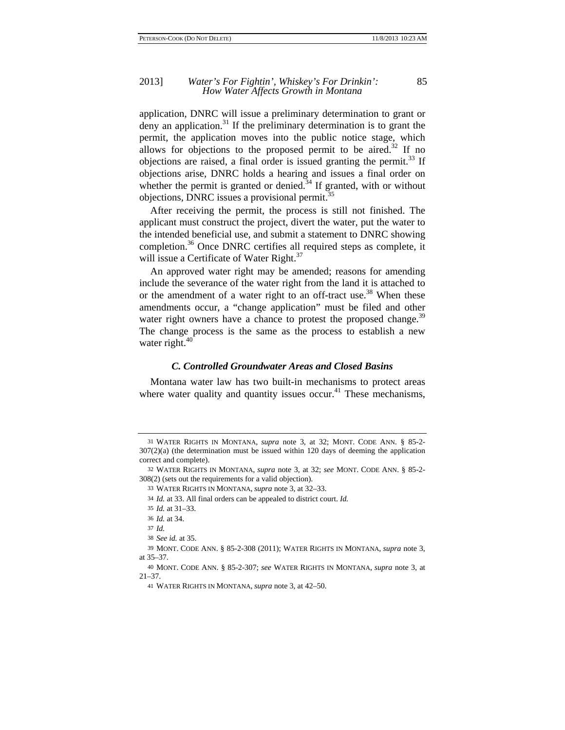### 2013] *Water's For Fightin', Whiskey's For Drinkin':* 85 *How Water Affects Growth in Montana*

application, DNRC will issue a preliminary determination to grant or deny an application.<sup>31</sup> If the preliminary determination is to grant the permit, the application moves into the public notice stage, which allows for objections to the proposed permit to be aired.<sup>32</sup> If no objections are raised, a final order is issued granting the permit.<sup>33</sup> If objections arise, DNRC holds a hearing and issues a final order on whether the permit is granted or denied.<sup>34</sup> If granted, with or without objections, DNRC issues a provisional permit.<sup>35</sup>

After receiving the permit, the process is still not finished. The applicant must construct the project, divert the water, put the water to the intended beneficial use, and submit a statement to DNRC showing completion.<sup>36</sup> Once DNRC certifies all required steps as complete, it will issue a Certificate of Water Right.<sup>37</sup>

An approved water right may be amended; reasons for amending include the severance of the water right from the land it is attached to or the amendment of a water right to an off-tract use.<sup>38</sup> When these amendments occur, a "change application" must be filed and other water right owners have a chance to protest the proposed change.<sup>39</sup> The change process is the same as the process to establish a new water right.<sup>40</sup>

### *C. Controlled Groundwater Areas and Closed Basins*

Montana water law has two built-in mechanisms to protect areas where water quality and quantity issues occur.<sup>41</sup> These mechanisms,

<sup>31</sup> WATER RIGHTS IN MONTANA, *supra* note 3, at 32; MONT. CODE ANN. § 85-2- 307(2)(a) (the determination must be issued within 120 days of deeming the application correct and complete).

<sup>32</sup> WATER RIGHTS IN MONTANA, *supra* note 3, at 32; *see* MONT. CODE ANN. § 85-2- 308(2) (sets out the requirements for a valid objection).

<sup>33</sup> WATER RIGHTS IN MONTANA, *supra* note 3, at 32–33.

<sup>34</sup> *Id.* at 33. All final orders can be appealed to district court. *Id.*

<sup>35</sup> *Id.* at 31–33.

<sup>36</sup> *Id.* at 34.

<sup>37</sup> *Id.*

<sup>38</sup> *See id.* at 35.

<sup>39</sup> MONT. CODE ANN. § 85-2-308 (2011); WATER RIGHTS IN MONTANA, *supra* note 3, at 35–37.

<sup>40</sup> MONT. CODE ANN. § 85-2-307; *see* WATER RIGHTS IN MONTANA, *supra* note 3, at 21–37.

<sup>41</sup> WATER RIGHTS IN MONTANA, *supra* note 3, at 42–50.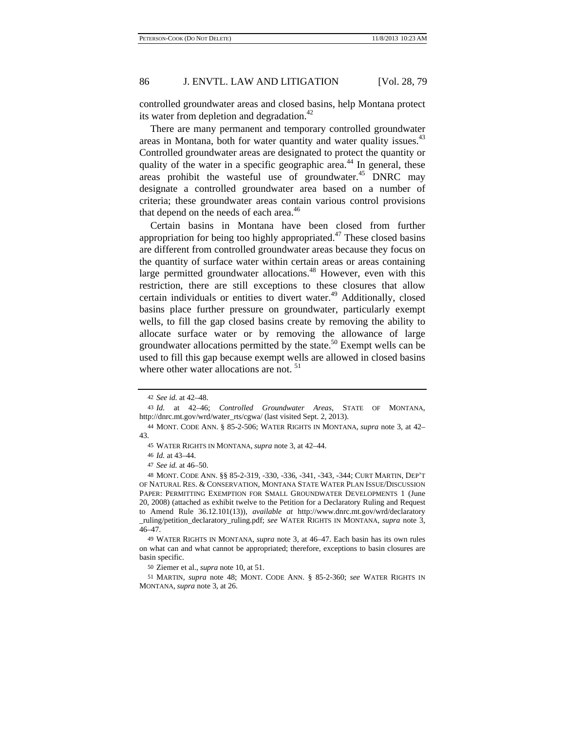controlled groundwater areas and closed basins, help Montana protect its water from depletion and degradation. $42$ 

There are many permanent and temporary controlled groundwater areas in Montana, both for water quantity and water quality issues.<sup>43</sup> Controlled groundwater areas are designated to protect the quantity or quality of the water in a specific geographic area.<sup>44</sup> In general, these areas prohibit the wasteful use of groundwater.<sup>45</sup> DNRC may designate a controlled groundwater area based on a number of criteria; these groundwater areas contain various control provisions that depend on the needs of each area.<sup>46</sup>

Certain basins in Montana have been closed from further appropriation for being too highly appropriated.<sup>47</sup> These closed basins are different from controlled groundwater areas because they focus on the quantity of surface water within certain areas or areas containing large permitted groundwater allocations.<sup>48</sup> However, even with this restriction, there are still exceptions to these closures that allow certain individuals or entities to divert water.<sup>49</sup> Additionally, closed basins place further pressure on groundwater, particularly exempt wells, to fill the gap closed basins create by removing the ability to allocate surface water or by removing the allowance of large groundwater allocations permitted by the state.<sup>50</sup> Exempt wells can be used to fill this gap because exempt wells are allowed in closed basins where other water allocations are not.<sup>51</sup>

<sup>42</sup> *See id.* at 42–48.

<sup>43</sup> *Id.* at 42–46; *Controlled Groundwater Areas*, STATE OF MONTANA, http://dnrc.mt.gov/wrd/water\_rts/cgwa/ (last visited Sept. 2, 2013).

<sup>44</sup> MONT. CODE ANN. § 85-2-506; WATER RIGHTS IN MONTANA, *supra* note 3, at 42– 43.

<sup>45</sup> WATER RIGHTS IN MONTANA, *supra* note 3, at 42–44.

<sup>46</sup> *Id.* at 43–44.

<sup>47</sup> *See id.* at 46–50.

<sup>48</sup> MONT. CODE ANN. §§ 85-2-319, -330, -336, -341, -343, -344; CURT MARTIN, DEP'T OF NATURAL RES. & CONSERVATION, MONTANA STATE WATER PLAN ISSUE/DISCUSSION PAPER: PERMITTING EXEMPTION FOR SMALL GROUNDWATER DEVELOPMENTS 1 (June 20, 2008) (attached as exhibit twelve to the Petition for a Declaratory Ruling and Request to Amend Rule 36.12.101(13)), *available at* http://www.dnrc.mt.gov/wrd/declaratory \_ruling/petition\_declaratory\_ruling.pdf; *see* WATER RIGHTS IN MONTANA, *supra* note 3, 46–47.

<sup>49</sup> WATER RIGHTS IN MONTANA, *supra* note 3, at 46–47. Each basin has its own rules on what can and what cannot be appropriated; therefore, exceptions to basin closures are basin specific.

<sup>50</sup> Ziemer et al., *supra* note 10, at 51.

<sup>51</sup> MARTIN, *supra* note 48; MONT. CODE ANN. § 85-2-360; *see* WATER RIGHTS IN MONTANA, *supra* note 3, at 26.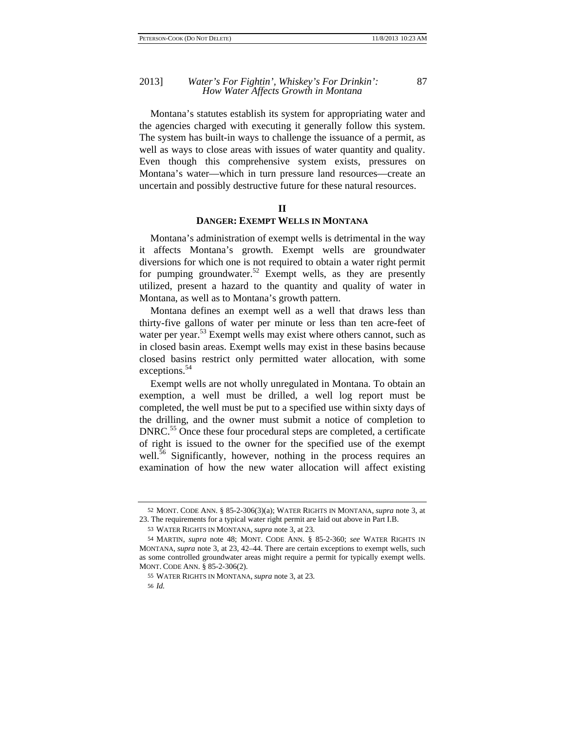Montana's statutes establish its system for appropriating water and the agencies charged with executing it generally follow this system. The system has built-in ways to challenge the issuance of a permit, as well as ways to close areas with issues of water quantity and quality. Even though this comprehensive system exists, pressures on Montana's water—which in turn pressure land resources—create an uncertain and possibly destructive future for these natural resources.

# **II**

# **DANGER: EXEMPT WELLS IN MONTANA**

Montana's administration of exempt wells is detrimental in the way it affects Montana's growth. Exempt wells are groundwater diversions for which one is not required to obtain a water right permit for pumping groundwater.<sup>52</sup> Exempt wells, as they are presently utilized, present a hazard to the quantity and quality of water in Montana, as well as to Montana's growth pattern.

Montana defines an exempt well as a well that draws less than thirty-five gallons of water per minute or less than ten acre-feet of water per year.<sup>53</sup> Exempt wells may exist where others cannot, such as in closed basin areas. Exempt wells may exist in these basins because closed basins restrict only permitted water allocation, with some exceptions.<sup>54</sup>

Exempt wells are not wholly unregulated in Montana. To obtain an exemption, a well must be drilled, a well log report must be completed, the well must be put to a specified use within sixty days of the drilling, and the owner must submit a notice of completion to DNRC.<sup>55</sup> Once these four procedural steps are completed, a certificate of right is issued to the owner for the specified use of the exempt well.<sup>56</sup> Significantly, however, nothing in the process requires an examination of how the new water allocation will affect existing

<sup>52</sup> MONT. CODE ANN. § 85-2-306(3)(a); WATER RIGHTS IN MONTANA, *supra* note 3, at 23. The requirements for a typical water right permit are laid out above in Part I.B.

<sup>53</sup> WATER RIGHTS IN MONTANA, *supra* note 3, at 23.

<sup>54</sup> MARTIN, *supra* note 48; MONT. CODE ANN. § 85-2-360; *see* WATER RIGHTS IN MONTANA, *supra* note 3, at 23, 42–44. There are certain exceptions to exempt wells, such as some controlled groundwater areas might require a permit for typically exempt wells. MONT. CODE ANN. § 85-2-306(2).

<sup>55</sup> WATER RIGHTS IN MONTANA, *supra* note 3, at 23.

<sup>56</sup> *Id.*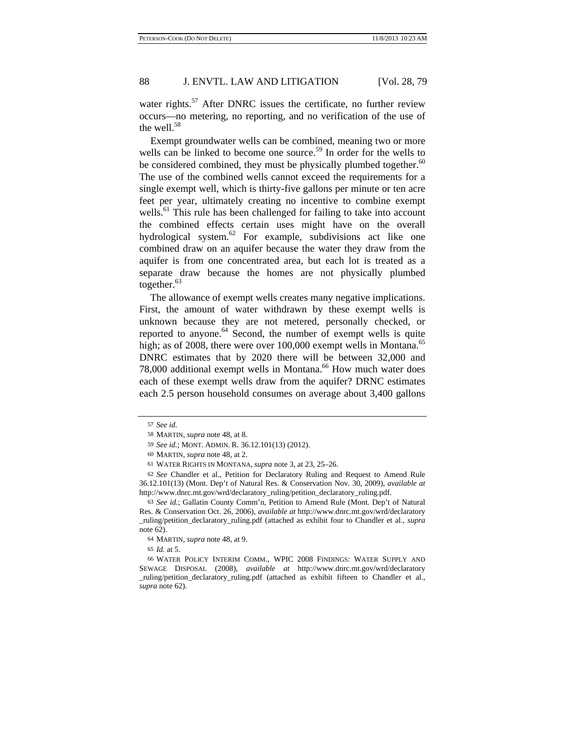water rights.<sup>57</sup> After DNRC issues the certificate, no further review occurs—no metering, no reporting, and no verification of the use of the well. $58$ 

Exempt groundwater wells can be combined, meaning two or more wells can be linked to become one source.<sup>59</sup> In order for the wells to be considered combined, they must be physically plumbed together. $60$ The use of the combined wells cannot exceed the requirements for a single exempt well, which is thirty-five gallons per minute or ten acre feet per year, ultimately creating no incentive to combine exempt wells.<sup>61</sup> This rule has been challenged for failing to take into account the combined effects certain uses might have on the overall hydrological system.<sup>62</sup> For example, subdivisions act like one combined draw on an aquifer because the water they draw from the aquifer is from one concentrated area, but each lot is treated as a separate draw because the homes are not physically plumbed together. $63$ 

The allowance of exempt wells creates many negative implications. First, the amount of water withdrawn by these exempt wells is unknown because they are not metered, personally checked, or reported to anyone.<sup>64</sup> Second, the number of exempt wells is quite high; as of 2008, there were over 100,000 exempt wells in Montana.<sup>65</sup> DNRC estimates that by 2020 there will be between 32,000 and 78,000 additional exempt wells in Montana.<sup>66</sup> How much water does each of these exempt wells draw from the aquifer? DRNC estimates each 2.5 person household consumes on average about 3,400 gallons

65 *Id.* at 5.

66 WATER POLICY INTERIM COMM., WPIC 2008 FINDINGS: WATER SUPPLY AND SEWAGE DISPOSAL (2008), *available at* http://www.dnrc.mt.gov/wrd/declaratory \_ruling/petition\_declaratory\_ruling.pdf (attached as exhibit fifteen to Chandler et al., *supra* note 62).

<sup>57</sup> *See id.*

<sup>58</sup> MARTIN, *supra* note 48, at 8.

<sup>59</sup> *See id.*; MONT. ADMIN. R. 36.12.101(13) (2012).

<sup>60</sup> MARTIN, *supra* note 48, at 2.

<sup>61</sup> WATER RIGHTS IN MONTANA, *supra* note 3, at 23, 25–26.

<sup>62</sup> *See* Chandler et al., Petition for Declaratory Ruling and Request to Amend Rule 36.12.101(13) (Mont. Dep't of Natural Res. & Conservation Nov. 30, 2009), *available at*  http://www.dnrc.mt.gov/wrd/declaratory\_ruling/petition\_declaratory\_ruling.pdf.

<sup>63</sup> *See id.*; Gallatin County Comm'n, Petition to Amend Rule (Mont. Dep't of Natural Res. & Conservation Oct. 26, 2006), *available at* http://www.dnrc.mt.gov/wrd/declaratory \_ruling/petition\_declaratory\_ruling.pdf (attached as exhibit four to Chandler et al., *supra* note 62).

<sup>64</sup> MARTIN, *supra* note 48, at 9.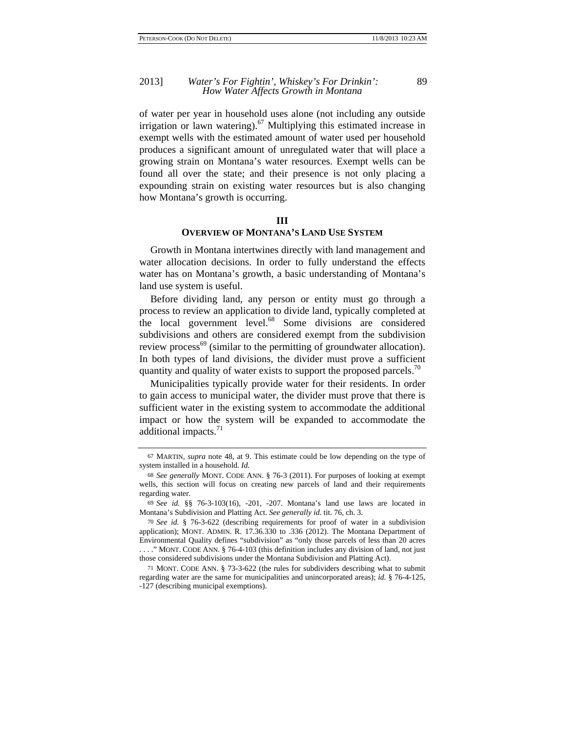### 2013] *Water's For Fightin', Whiskey's For Drinkin':* 89 *How Water Affects Growth in Montana*

of water per year in household uses alone (not including any outside irrigation or lawn watering).<sup>67</sup> Multiplying this estimated increase in exempt wells with the estimated amount of water used per household produces a significant amount of unregulated water that will place a growing strain on Montana's water resources. Exempt wells can be found all over the state; and their presence is not only placing a expounding strain on existing water resources but is also changing how Montana's growth is occurring.

### **III**

# **OVERVIEW OF MONTANA'S LAND USE SYSTEM**

Growth in Montana intertwines directly with land management and water allocation decisions. In order to fully understand the effects water has on Montana's growth, a basic understanding of Montana's land use system is useful.

Before dividing land, any person or entity must go through a process to review an application to divide land, typically completed at the local government level.<sup>68</sup> Some divisions are considered subdivisions and others are considered exempt from the subdivision review process<sup>69</sup> (similar to the permitting of groundwater allocation). In both types of land divisions, the divider must prove a sufficient quantity and quality of water exists to support the proposed parcels.<sup>70</sup>

Municipalities typically provide water for their residents. In order to gain access to municipal water, the divider must prove that there is sufficient water in the existing system to accommodate the additional impact or how the system will be expanded to accommodate the additional impacts. $11$ 

<sup>67</sup> MARTIN, *supra* note 48, at 9. This estimate could be low depending on the type of system installed in a household. *Id.*

<sup>68</sup> *See generally* MONT. CODE ANN. § 76-3 (2011). For purposes of looking at exempt wells, this section will focus on creating new parcels of land and their requirements regarding water.

<sup>69</sup> *See id.* §§ 76-3-103(16), -201, -207. Montana's land use laws are located in Montana's Subdivision and Platting Act. *See generally id.* tit. 76, ch. 3.

<sup>70</sup> *See id.* § 76-3-622 (describing requirements for proof of water in a subdivision application); MONT. ADMIN. R. 17.36.330 to .336 (2012). The Montana Department of Environmental Quality defines "subdivision" as "only those parcels of less than 20 acres . . . ." MONT. CODE ANN. § 76-4-103 (this definition includes any division of land, not just those considered subdivisions under the Montana Subdivision and Platting Act).

<sup>71</sup> MONT. CODE ANN. § 73-3-622 (the rules for subdividers describing what to submit regarding water are the same for municipalities and unincorporated areas); *id.* § 76-4-125, -127 (describing municipal exemptions).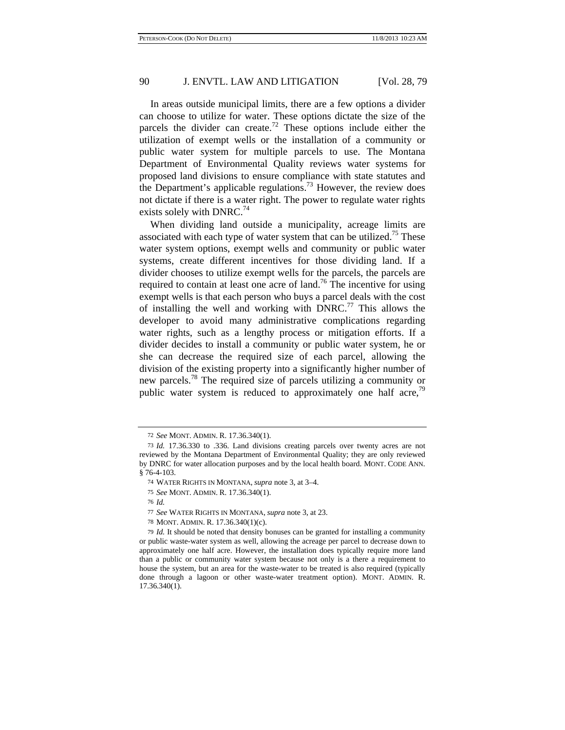In areas outside municipal limits, there are a few options a divider can choose to utilize for water. These options dictate the size of the parcels the divider can create.<sup>72</sup> These options include either the utilization of exempt wells or the installation of a community or public water system for multiple parcels to use. The Montana Department of Environmental Quality reviews water systems for proposed land divisions to ensure compliance with state statutes and the Department's applicable regulations.<sup>73</sup> However, the review does not dictate if there is a water right. The power to regulate water rights exists solely with DNRC. $^{74}$ 

When dividing land outside a municipality, acreage limits are associated with each type of water system that can be utilized.<sup>75</sup> These water system options, exempt wells and community or public water systems, create different incentives for those dividing land. If a divider chooses to utilize exempt wells for the parcels, the parcels are required to contain at least one acre of land.<sup>76</sup> The incentive for using exempt wells is that each person who buys a parcel deals with the cost of installing the well and working with  $DNRC<sup>77</sup>$  This allows the developer to avoid many administrative complications regarding water rights, such as a lengthy process or mitigation efforts. If a divider decides to install a community or public water system, he or she can decrease the required size of each parcel, allowing the division of the existing property into a significantly higher number of new parcels.78 The required size of parcels utilizing a community or public water system is reduced to approximately one half acre.<sup>79</sup>

<sup>72</sup> *See* MONT. ADMIN. R. 17.36.340(1).

<sup>73</sup> *Id.* 17.36.330 to .336. Land divisions creating parcels over twenty acres are not reviewed by the Montana Department of Environmental Quality; they are only reviewed by DNRC for water allocation purposes and by the local health board. MONT. CODE ANN. § 76-4-103.

<sup>74</sup> WATER RIGHTS IN MONTANA, *supra* note 3, at 3–4.

<sup>75</sup> *See* MONT. ADMIN. R. 17.36.340(1).

<sup>76</sup> *Id.*

<sup>77</sup> *See* WATER RIGHTS IN MONTANA, *supra* note 3, at 23.

<sup>78</sup> MONT. ADMIN. R. 17.36.340(1)(c).

<sup>79</sup> *Id.* It should be noted that density bonuses can be granted for installing a community or public waste-water system as well, allowing the acreage per parcel to decrease down to approximately one half acre. However, the installation does typically require more land than a public or community water system because not only is a there a requirement to house the system, but an area for the waste-water to be treated is also required (typically done through a lagoon or other waste-water treatment option). MONT. ADMIN. R. 17.36.340(1).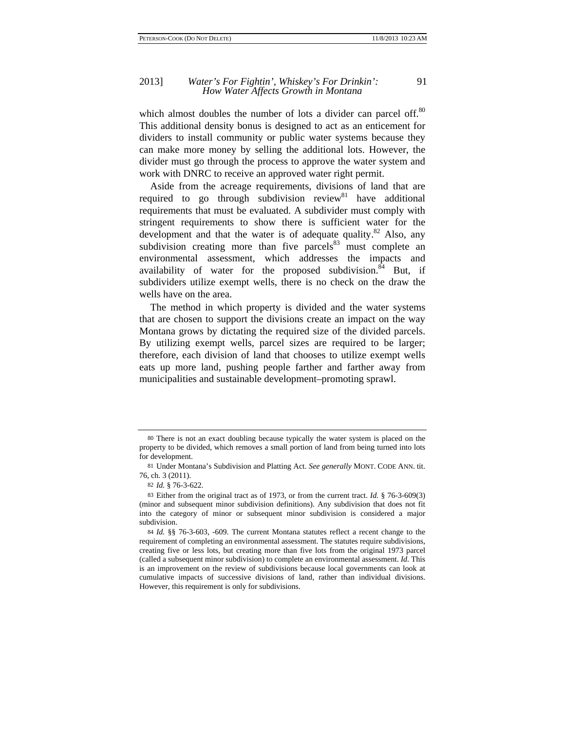which almost doubles the number of lots a divider can parcel off.<sup>80</sup> This additional density bonus is designed to act as an enticement for dividers to install community or public water systems because they can make more money by selling the additional lots. However, the divider must go through the process to approve the water system and work with DNRC to receive an approved water right permit.

Aside from the acreage requirements, divisions of land that are required to go through subdivision review  $n<sup>81</sup>$  have additional requirements that must be evaluated. A subdivider must comply with stringent requirements to show there is sufficient water for the development and that the water is of adequate quality. $82$  Also, any subdivision creating more than five parcels $83$  must complete an environmental assessment, which addresses the impacts and availability of water for the proposed subdivision.  $84$  But, if subdividers utilize exempt wells, there is no check on the draw the wells have on the area.

The method in which property is divided and the water systems that are chosen to support the divisions create an impact on the way Montana grows by dictating the required size of the divided parcels. By utilizing exempt wells, parcel sizes are required to be larger; therefore, each division of land that chooses to utilize exempt wells eats up more land, pushing people farther and farther away from municipalities and sustainable development–promoting sprawl.

<sup>80</sup> There is not an exact doubling because typically the water system is placed on the property to be divided, which removes a small portion of land from being turned into lots for development.

<sup>81</sup> Under Montana's Subdivision and Platting Act. *See generally* MONT. CODE ANN. tit. 76, ch. 3 (2011).

<sup>82</sup> *Id.* § 76-3-622.

<sup>83</sup> Either from the original tract as of 1973, or from the current tract. *Id.* § 76-3-609(3) (minor and subsequent minor subdivision definitions). Any subdivision that does not fit into the category of minor or subsequent minor subdivision is considered a major subdivision.

<sup>84</sup> *Id.* §§ 76-3-603, -609. The current Montana statutes reflect a recent change to the requirement of completing an environmental assessment. The statutes require subdivisions, creating five or less lots, but creating more than five lots from the original 1973 parcel (called a subsequent minor subdivision) to complete an environmental assessment. *Id.* This is an improvement on the review of subdivisions because local governments can look at cumulative impacts of successive divisions of land, rather than individual divisions. However, this requirement is only for subdivisions.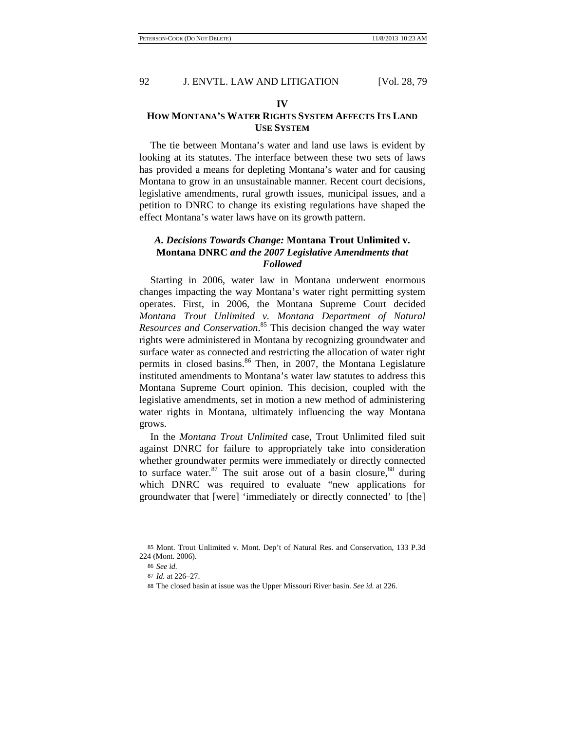### **IV**

# **HOW MONTANA'S WATER RIGHTS SYSTEM AFFECTS ITS LAND USE SYSTEM**

The tie between Montana's water and land use laws is evident by looking at its statutes. The interface between these two sets of laws has provided a means for depleting Montana's water and for causing Montana to grow in an unsustainable manner. Recent court decisions, legislative amendments, rural growth issues, municipal issues, and a petition to DNRC to change its existing regulations have shaped the effect Montana's water laws have on its growth pattern.

# *A. Decisions Towards Change:* **Montana Trout Unlimited v. Montana DNRC** *and the 2007 Legislative Amendments that Followed*

Starting in 2006, water law in Montana underwent enormous changes impacting the way Montana's water right permitting system operates. First, in 2006, the Montana Supreme Court decided *Montana Trout Unlimited v. Montana Department of Natural Resources and Conservation*. <sup>85</sup> This decision changed the way water rights were administered in Montana by recognizing groundwater and surface water as connected and restricting the allocation of water right permits in closed basins.<sup>86</sup> Then, in 2007, the Montana Legislature instituted amendments to Montana's water law statutes to address this Montana Supreme Court opinion. This decision, coupled with the legislative amendments, set in motion a new method of administering water rights in Montana, ultimately influencing the way Montana grows.

In the *Montana Trout Unlimited* case, Trout Unlimited filed suit against DNRC for failure to appropriately take into consideration whether groundwater permits were immediately or directly connected to surface water. $87$  The suit arose out of a basin closure,  $88$  during which DNRC was required to evaluate "new applications for groundwater that [were] 'immediately or directly connected' to [the]

<sup>85</sup> Mont. Trout Unlimited v. Mont. Dep't of Natural Res. and Conservation, 133 P.3d 224 (Mont. 2006).

<sup>86</sup> *See id.*

<sup>87</sup> *Id.* at 226–27.

<sup>88</sup> The closed basin at issue was the Upper Missouri River basin. *See id.* at 226.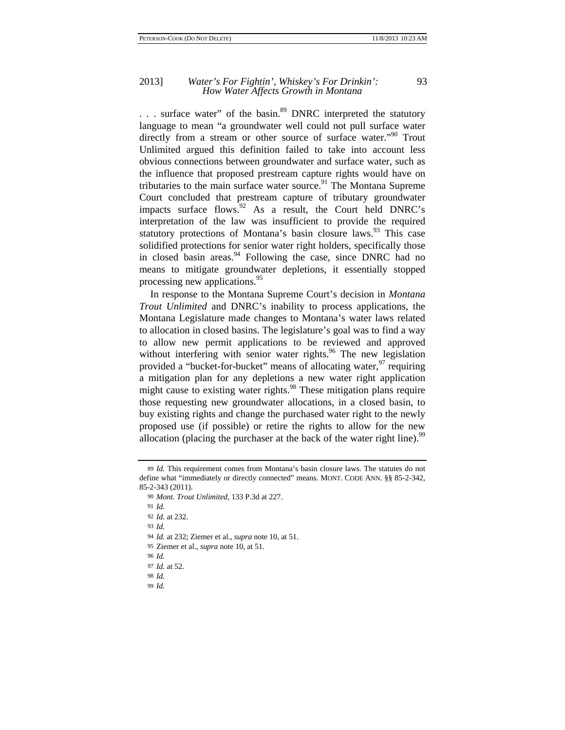... surface water" of the basin.<sup>89</sup> DNRC interpreted the statutory language to mean "a groundwater well could not pull surface water directly from a stream or other source of surface water."<sup>90</sup> Trout Unlimited argued this definition failed to take into account less obvious connections between groundwater and surface water, such as the influence that proposed prestream capture rights would have on tributaries to the main surface water source.<sup>91</sup> The Montana Supreme Court concluded that prestream capture of tributary groundwater impacts surface flows. $92$  As a result, the Court held DNRC's interpretation of the law was insufficient to provide the required statutory protections of Montana's basin closure laws.<sup>93</sup> This case solidified protections for senior water right holders, specifically those in closed basin areas.<sup>94</sup> Following the case, since DNRC had no means to mitigate groundwater depletions, it essentially stopped processing new applications.<sup>95</sup>

In response to the Montana Supreme Court's decision in *Montana Trout Unlimited* and DNRC's inability to process applications, the Montana Legislature made changes to Montana's water laws related to allocation in closed basins. The legislature's goal was to find a way to allow new permit applications to be reviewed and approved without interfering with senior water rights.<sup>96</sup> The new legislation provided a "bucket-for-bucket" means of allocating water. <sup>97</sup> requiring a mitigation plan for any depletions a new water right application might cause to existing water rights.<sup>98</sup> These mitigation plans require those requesting new groundwater allocations, in a closed basin, to buy existing rights and change the purchased water right to the newly proposed use (if possible) or retire the rights to allow for the new allocation (placing the purchaser at the back of the water right line).<sup>99</sup>

91 *Id.*

93 *Id.*

- 94 *Id.* at 232; Ziemer et al., *supra* note 10, at 51.
- 95 Ziemer et al., *supra* note 10, at 51.

96 *Id.*

- 97 *Id.* at 52.
- 98 *Id.*
- 99 *Id.*

<sup>89</sup> *Id.* This requirement comes from Montana's basin closure laws. The statutes do not define what "immediately or directly connected" means. MONT. CODE ANN. §§ 85-2-342, 85-2-343 (2011).

<sup>90</sup> *Mont. Trout Unlimited*, 133 P.3d at 227.

<sup>92</sup> *Id.* at 232.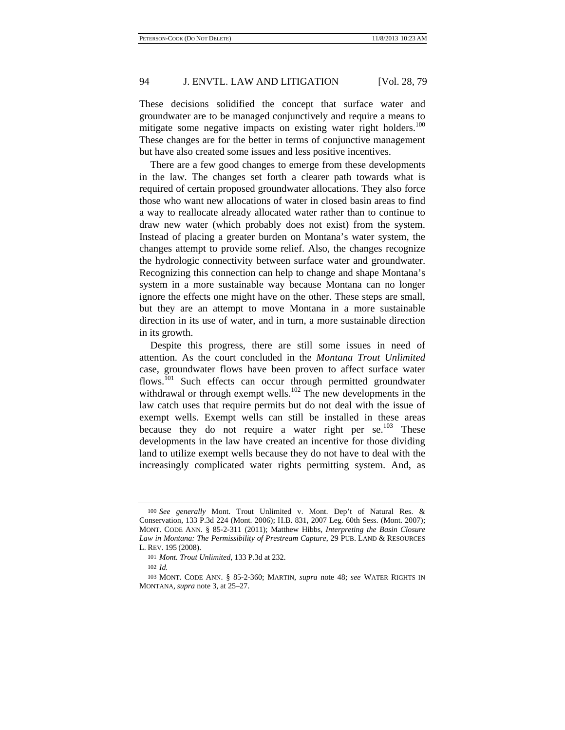These decisions solidified the concept that surface water and groundwater are to be managed conjunctively and require a means to mitigate some negative impacts on existing water right holders.<sup>100</sup> These changes are for the better in terms of conjunctive management but have also created some issues and less positive incentives.

There are a few good changes to emerge from these developments in the law. The changes set forth a clearer path towards what is required of certain proposed groundwater allocations. They also force those who want new allocations of water in closed basin areas to find a way to reallocate already allocated water rather than to continue to draw new water (which probably does not exist) from the system. Instead of placing a greater burden on Montana's water system, the changes attempt to provide some relief. Also, the changes recognize the hydrologic connectivity between surface water and groundwater. Recognizing this connection can help to change and shape Montana's system in a more sustainable way because Montana can no longer ignore the effects one might have on the other. These steps are small, but they are an attempt to move Montana in a more sustainable direction in its use of water, and in turn, a more sustainable direction in its growth.

Despite this progress, there are still some issues in need of attention. As the court concluded in the *Montana Trout Unlimited*  case, groundwater flows have been proven to affect surface water flows.<sup>101</sup> Such effects can occur through permitted groundwater withdrawal or through exempt wells.<sup>102</sup> The new developments in the law catch uses that require permits but do not deal with the issue of exempt wells. Exempt wells can still be installed in these areas because they do not require a water right per  $se^{103}$  These developments in the law have created an incentive for those dividing land to utilize exempt wells because they do not have to deal with the increasingly complicated water rights permitting system. And, as

<sup>100</sup> *See generally* Mont. Trout Unlimited v. Mont. Dep't of Natural Res. & Conservation, 133 P.3d 224 (Mont. 2006); H.B. 831, 2007 Leg. 60th Sess. (Mont. 2007); MONT. CODE ANN. § 85-2-311 (2011); Matthew Hibbs, *Interpreting the Basin Closure Law in Montana: The Permissibility of Prestream Capture*, 29 PUB. LAND & RESOURCES L. REV. 195 (2008).

<sup>101</sup> *Mont. Trout Unlimited*, 133 P.3d at 232.

<sup>102</sup> *Id.*

<sup>103</sup> MONT. CODE ANN. § 85-2-360; MARTIN, *supra* note 48; *see* WATER RIGHTS IN MONTANA, *supra* note 3, at 25–27.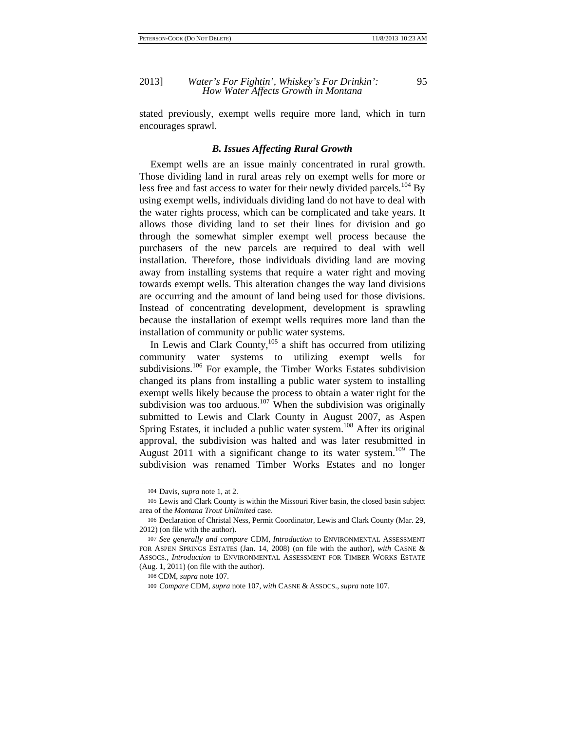stated previously, exempt wells require more land, which in turn encourages sprawl.

#### *B. Issues Affecting Rural Growth*

Exempt wells are an issue mainly concentrated in rural growth. Those dividing land in rural areas rely on exempt wells for more or less free and fast access to water for their newly divided parcels.<sup>104</sup> By using exempt wells, individuals dividing land do not have to deal with the water rights process, which can be complicated and take years. It allows those dividing land to set their lines for division and go through the somewhat simpler exempt well process because the purchasers of the new parcels are required to deal with well installation. Therefore, those individuals dividing land are moving away from installing systems that require a water right and moving towards exempt wells. This alteration changes the way land divisions are occurring and the amount of land being used for those divisions. Instead of concentrating development, development is sprawling because the installation of exempt wells requires more land than the installation of community or public water systems.

In Lewis and Clark County, $105$  a shift has occurred from utilizing community water systems to utilizing exempt wells for subdivisions.<sup>106</sup> For example, the Timber Works Estates subdivision changed its plans from installing a public water system to installing exempt wells likely because the process to obtain a water right for the subdivision was too arduous.<sup>107</sup> When the subdivision was originally submitted to Lewis and Clark County in August 2007, as Aspen Spring Estates, it included a public water system.<sup>108</sup> After its original approval, the subdivision was halted and was later resubmitted in August 2011 with a significant change to its water system.<sup>109</sup> The subdivision was renamed Timber Works Estates and no longer

<sup>104</sup> Davis, *supra* note 1, at 2.

<sup>105</sup> Lewis and Clark County is within the Missouri River basin, the closed basin subject area of the *Montana Trout Unlimited* case.

<sup>106</sup> Declaration of Christal Ness, Permit Coordinator, Lewis and Clark County (Mar. 29, 2012) (on file with the author).

<sup>107</sup> *See generally and compare* CDM, *Introduction* to ENVIRONMENTAL ASSESSMENT FOR ASPEN SPRINGS ESTATES (Jan. 14, 2008) (on file with the author), *with* CASNE & ASSOCS., *Introduction* to ENVIRONMENTAL ASSESSMENT FOR TIMBER WORKS ESTATE (Aug. 1, 2011) (on file with the author).

<sup>108</sup> CDM, *supra* note 107.

<sup>109</sup> *Compare* CDM, *supra* note 107, *with* CASNE & ASSOCS., *supra* note 107.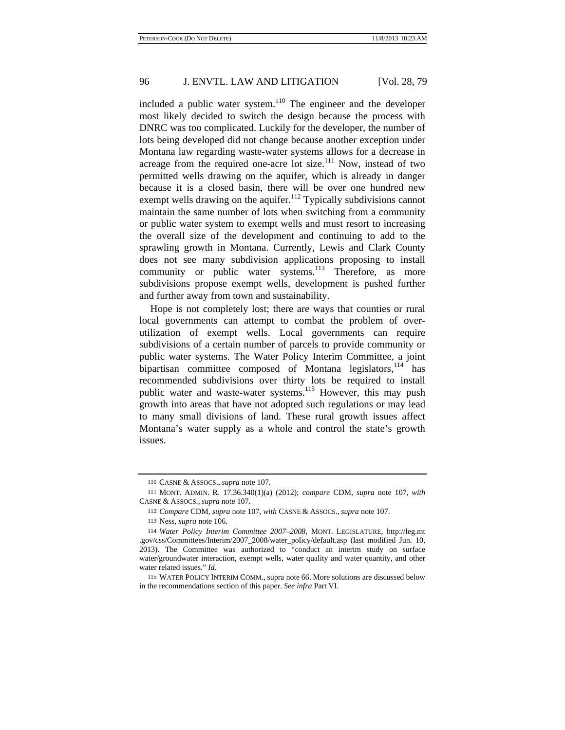included a public water system. $110$  The engineer and the developer most likely decided to switch the design because the process with DNRC was too complicated. Luckily for the developer, the number of lots being developed did not change because another exception under Montana law regarding waste-water systems allows for a decrease in acreage from the required one-acre lot size.<sup>111</sup> Now, instead of two permitted wells drawing on the aquifer, which is already in danger because it is a closed basin, there will be over one hundred new exempt wells drawing on the aquifer.<sup>112</sup> Typically subdivisions cannot maintain the same number of lots when switching from a community or public water system to exempt wells and must resort to increasing the overall size of the development and continuing to add to the sprawling growth in Montana. Currently, Lewis and Clark County does not see many subdivision applications proposing to install community or public water systems.<sup>113</sup> Therefore, as more subdivisions propose exempt wells, development is pushed further and further away from town and sustainability.

Hope is not completely lost; there are ways that counties or rural local governments can attempt to combat the problem of overutilization of exempt wells. Local governments can require subdivisions of a certain number of parcels to provide community or public water systems. The Water Policy Interim Committee, a joint bipartisan committee composed of Montana legislators, $114$  has recommended subdivisions over thirty lots be required to install public water and waste-water systems.<sup>115</sup> However, this may push growth into areas that have not adopted such regulations or may lead to many small divisions of land. These rural growth issues affect Montana's water supply as a whole and control the state's growth issues.

<sup>110</sup> CASNE & ASSOCS., *supra* note 107.

<sup>111</sup> MONT. ADMIN. R. 17.36.340(1)(a) (2012); *compare* CDM, *supra* note 107, *with*  CASNE & ASSOCS., *supra* note 107.

<sup>112</sup> *Compare* CDM, *supra* note 107, *with* CASNE & ASSOCS., *supra* note 107.

<sup>113</sup> Ness, *supra* note 106.

<sup>114</sup> *Water Policy Interim Committee 2007–2008*, MONT. LEGISLATURE, http://leg.mt .gov/css/Committees/Interim/2007\_2008/water\_policy/default.asp (last modified Jun. 10, 2013). The Committee was authorized to "conduct an interim study on surface water/groundwater interaction, exempt wells, water quality and water quantity, and other water related issues." *Id.* 

<sup>115</sup> WATER POLICY INTERIM COMM., supra note 66. More solutions are discussed below in the recommendations section of this paper. *See infra* Part VI.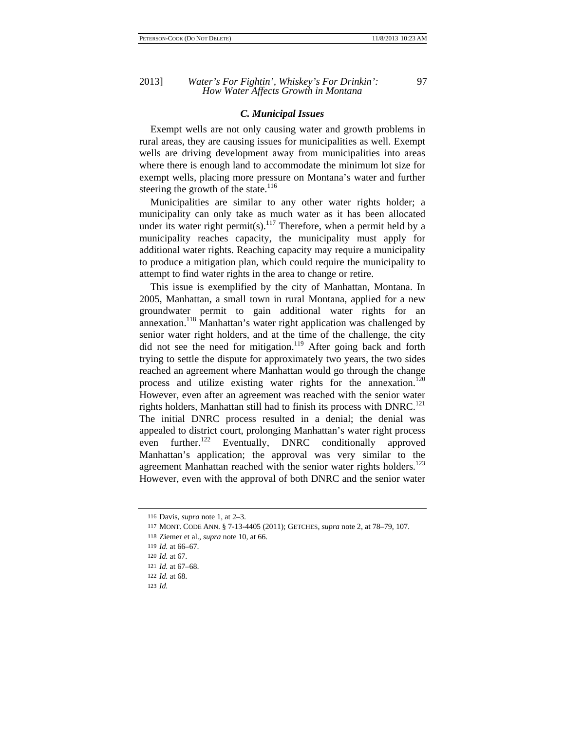### *C. Municipal Issues*

Exempt wells are not only causing water and growth problems in rural areas, they are causing issues for municipalities as well. Exempt wells are driving development away from municipalities into areas where there is enough land to accommodate the minimum lot size for exempt wells, placing more pressure on Montana's water and further steering the growth of the state.<sup>116</sup>

Municipalities are similar to any other water rights holder; a municipality can only take as much water as it has been allocated under its water right permit(s).<sup>117</sup> Therefore, when a permit held by a municipality reaches capacity, the municipality must apply for additional water rights. Reaching capacity may require a municipality to produce a mitigation plan, which could require the municipality to attempt to find water rights in the area to change or retire.

This issue is exemplified by the city of Manhattan, Montana. In 2005, Manhattan, a small town in rural Montana, applied for a new groundwater permit to gain additional water rights for an annexation.<sup>118</sup> Manhattan's water right application was challenged by senior water right holders, and at the time of the challenge, the city did not see the need for mitigation.<sup>119</sup> After going back and forth trying to settle the dispute for approximately two years, the two sides reached an agreement where Manhattan would go through the change process and utilize existing water rights for the annexation.<sup>120</sup> However, even after an agreement was reached with the senior water rights holders, Manhattan still had to finish its process with  $DNRC$ <sup>121</sup> The initial DNRC process resulted in a denial; the denial was appealed to district court, prolonging Manhattan's water right process even further.<sup>122</sup> Eventually, DNRC conditionally approved Manhattan's application; the approval was very similar to the agreement Manhattan reached with the senior water rights holders.<sup>123</sup> However, even with the approval of both DNRC and the senior water

<sup>116</sup> Davis, *supra* note 1, at 2–3.

<sup>117</sup> MONT. CODE ANN. § 7-13-4405 (2011); GETCHES, *supra* note 2, at 78–79, 107.

<sup>118</sup> Ziemer et al., *supra* note 10, at 66.

<sup>119</sup> *Id.* at 66–67.

<sup>120</sup> *Id.* at 67.

<sup>121</sup> *Id.* at 67–68.

<sup>122</sup> *Id.* at 68.

<sup>123</sup> *Id.*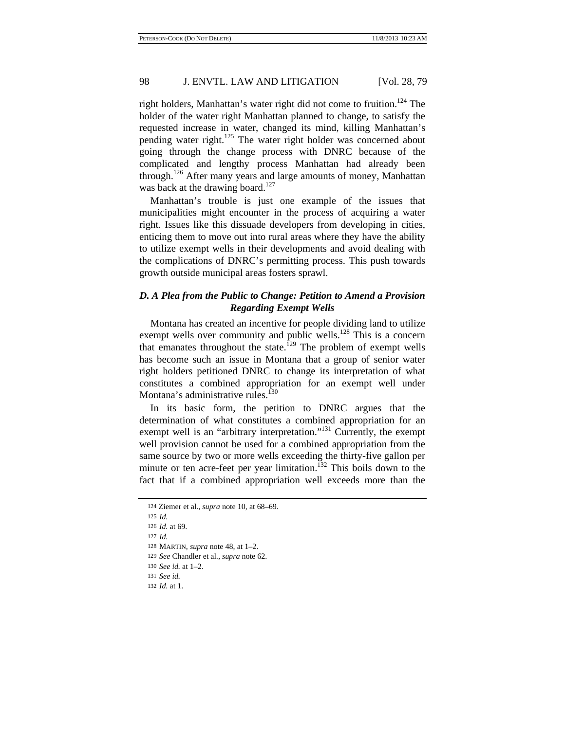right holders, Manhattan's water right did not come to fruition.<sup>124</sup> The holder of the water right Manhattan planned to change, to satisfy the requested increase in water, changed its mind, killing Manhattan's pending water right.<sup>125</sup> The water right holder was concerned about going through the change process with DNRC because of the complicated and lengthy process Manhattan had already been through.<sup>126</sup> After many years and large amounts of money, Manhattan was back at the drawing board.<sup>127</sup>

Manhattan's trouble is just one example of the issues that municipalities might encounter in the process of acquiring a water right. Issues like this dissuade developers from developing in cities, enticing them to move out into rural areas where they have the ability to utilize exempt wells in their developments and avoid dealing with the complications of DNRC's permitting process. This push towards growth outside municipal areas fosters sprawl.

# *D. A Plea from the Public to Change: Petition to Amend a Provision Regarding Exempt Wells*

Montana has created an incentive for people dividing land to utilize exempt wells over community and public wells.<sup>128</sup> This is a concern that emanates throughout the state.<sup>129</sup> The problem of exempt wells has become such an issue in Montana that a group of senior water right holders petitioned DNRC to change its interpretation of what constitutes a combined appropriation for an exempt well under Montana's administrative rules.<sup>130</sup>

In its basic form, the petition to DNRC argues that the determination of what constitutes a combined appropriation for an exempt well is an "arbitrary interpretation."<sup>131</sup> Currently, the exempt well provision cannot be used for a combined appropriation from the same source by two or more wells exceeding the thirty-five gallon per minute or ten acre-feet per year limitation.<sup>132</sup> This boils down to the fact that if a combined appropriation well exceeds more than the

<sup>124</sup> Ziemer et al., *supra* note 10, at 68–69.

<sup>125</sup> *Id.*

<sup>126</sup> *Id.* at 69.

<sup>127</sup> *Id.*

<sup>128</sup> MARTIN, *supra* note 48, at 1–2.

<sup>129</sup> *See* Chandler et al., *supra* note 62.

<sup>130</sup> *See id.* at 1–2*.*

<sup>131</sup> *See id.*

<sup>132</sup> *Id.* at 1.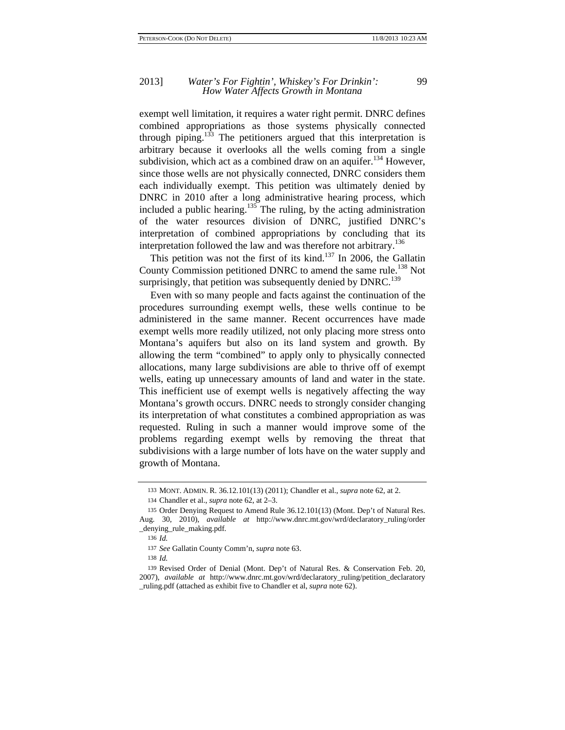exempt well limitation, it requires a water right permit. DNRC defines combined appropriations as those systems physically connected through piping.<sup>133</sup> The petitioners argued that this interpretation is arbitrary because it overlooks all the wells coming from a single subdivision, which act as a combined draw on an aquifer.<sup>134</sup> However, since those wells are not physically connected, DNRC considers them each individually exempt. This petition was ultimately denied by DNRC in 2010 after a long administrative hearing process, which included a public hearing.<sup>135</sup> The ruling, by the acting administration of the water resources division of DNRC, justified DNRC's interpretation of combined appropriations by concluding that its interpretation followed the law and was therefore not arbitrary.<sup>136</sup>

This petition was not the first of its kind.<sup>137</sup> In 2006, the Gallatin County Commission petitioned DNRC to amend the same rule.<sup>138</sup> Not surprisingly, that petition was subsequently denied by  $DNRC$ <sup>139</sup>

Even with so many people and facts against the continuation of the procedures surrounding exempt wells, these wells continue to be administered in the same manner. Recent occurrences have made exempt wells more readily utilized, not only placing more stress onto Montana's aquifers but also on its land system and growth. By allowing the term "combined" to apply only to physically connected allocations, many large subdivisions are able to thrive off of exempt wells, eating up unnecessary amounts of land and water in the state. This inefficient use of exempt wells is negatively affecting the way Montana's growth occurs. DNRC needs to strongly consider changing its interpretation of what constitutes a combined appropriation as was requested. Ruling in such a manner would improve some of the problems regarding exempt wells by removing the threat that subdivisions with a large number of lots have on the water supply and growth of Montana.

<sup>133</sup> MONT. ADMIN. R. 36.12.101(13) (2011); Chandler et al., *supra* note 62, at 2.

<sup>134</sup> Chandler et al., *supra* note 62, at 2–3.

<sup>135</sup> Order Denying Request to Amend Rule 36.12.101(13) (Mont. Dep't of Natural Res. Aug. 30, 2010), *available at* http://www.dnrc.mt.gov/wrd/declaratory\_ruling/order \_denying\_rule\_making.pdf.

<sup>136</sup> *Id.*

<sup>137</sup> *See* Gallatin County Comm'n, *supra* note 63.

<sup>138</sup> *Id.*

<sup>139</sup> Revised Order of Denial (Mont. Dep't of Natural Res. & Conservation Feb. 20, 2007), *available at* http://www.dnrc.mt.gov/wrd/declaratory\_ruling/petition\_declaratory \_ruling.pdf (attached as exhibit five to Chandler et al, *supra* note 62).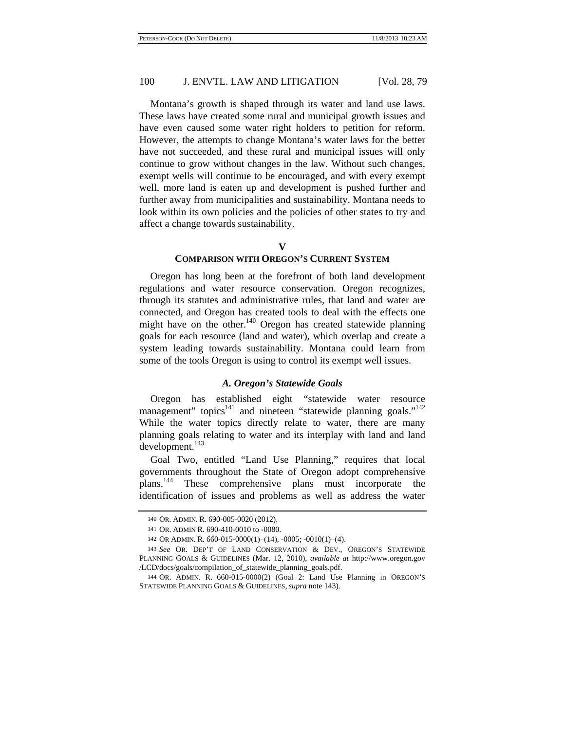Montana's growth is shaped through its water and land use laws. These laws have created some rural and municipal growth issues and have even caused some water right holders to petition for reform. However, the attempts to change Montana's water laws for the better have not succeeded, and these rural and municipal issues will only continue to grow without changes in the law. Without such changes, exempt wells will continue to be encouraged, and with every exempt well, more land is eaten up and development is pushed further and further away from municipalities and sustainability. Montana needs to look within its own policies and the policies of other states to try and affect a change towards sustainability.

**V** 

### **COMPARISON WITH OREGON'S CURRENT SYSTEM**

Oregon has long been at the forefront of both land development regulations and water resource conservation. Oregon recognizes, through its statutes and administrative rules, that land and water are connected, and Oregon has created tools to deal with the effects one might have on the other. $140$  Oregon has created statewide planning goals for each resource (land and water), which overlap and create a system leading towards sustainability. Montana could learn from some of the tools Oregon is using to control its exempt well issues.

### *A. Oregon's Statewide Goals*

Oregon has established eight "statewide water resource management" topics<sup>141</sup> and nineteen "statewide planning goals."<sup>142</sup> While the water topics directly relate to water, there are many planning goals relating to water and its interplay with land and land development.<sup>143</sup>

Goal Two, entitled "Land Use Planning," requires that local governments throughout the State of Oregon adopt comprehensive plans.144 These comprehensive plans must incorporate the identification of issues and problems as well as address the water

<sup>140</sup> OR. ADMIN. R. 690-005-0020 (2012).

<sup>141</sup> OR. ADMIN R. 690-410-0010 to -0080.

<sup>142</sup> OR ADMIN. R. 660-015-0000(1)–(14), -0005; -0010(1)–(4).

<sup>143</sup> *See* OR. DEP'T OF LAND CONSERVATION & DEV., OREGON'S STATEWIDE PLANNING GOALS & GUIDELINES (Mar. 12, 2010), *available at* http://www.oregon.gov /LCD/docs/goals/compilation\_of\_statewide\_planning\_goals.pdf.

<sup>144</sup> OR. ADMIN. R. 660-015-0000(2) (Goal 2: Land Use Planning in OREGON'S STATEWIDE PLANNING GOALS & GUIDELINES, *supra* note 143).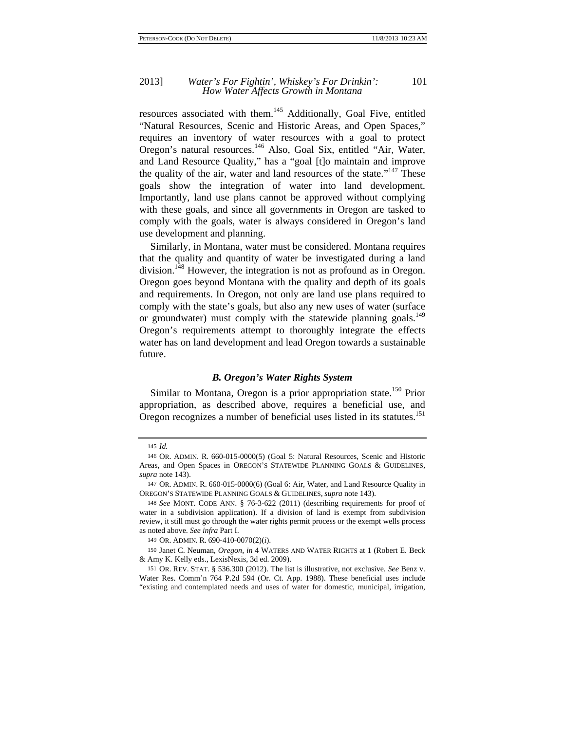### 2013] *Water's For Fightin', Whiskey's For Drinkin':* 101 *How Water Affects Growth in Montana*

resources associated with them.145 Additionally, Goal Five, entitled "Natural Resources, Scenic and Historic Areas, and Open Spaces," requires an inventory of water resources with a goal to protect Oregon's natural resources.146 Also, Goal Six, entitled "Air, Water, and Land Resource Quality," has a "goal [t]o maintain and improve the quality of the air, water and land resources of the state."<sup>147</sup> These goals show the integration of water into land development. Importantly, land use plans cannot be approved without complying with these goals, and since all governments in Oregon are tasked to comply with the goals, water is always considered in Oregon's land use development and planning.

Similarly, in Montana, water must be considered. Montana requires that the quality and quantity of water be investigated during a land division.<sup>148</sup> However, the integration is not as profound as in Oregon. Oregon goes beyond Montana with the quality and depth of its goals and requirements. In Oregon, not only are land use plans required to comply with the state's goals, but also any new uses of water (surface or groundwater) must comply with the statewide planning goals.<sup>149</sup> Oregon's requirements attempt to thoroughly integrate the effects water has on land development and lead Oregon towards a sustainable future.

### *B. Oregon's Water Rights System*

Similar to Montana, Oregon is a prior appropriation state.<sup>150</sup> Prior appropriation, as described above, requires a beneficial use, and Oregon recognizes a number of beneficial uses listed in its statutes.<sup>151</sup>

<sup>145</sup> *Id.*

<sup>146</sup> OR. ADMIN. R. 660-015-0000(5) (Goal 5: Natural Resources, Scenic and Historic Areas, and Open Spaces in OREGON'S STATEWIDE PLANNING GOALS & GUIDELINES, *supra* note 143).

<sup>147</sup> OR. ADMIN. R. 660-015-0000(6) (Goal 6: Air, Water, and Land Resource Quality in OREGON'S STATEWIDE PLANNING GOALS & GUIDELINES, *supra* note 143).

<sup>148</sup> *See* MONT. CODE ANN. § 76-3-622 (2011) (describing requirements for proof of water in a subdivision application). If a division of land is exempt from subdivision review, it still must go through the water rights permit process or the exempt wells process as noted above. *See infra* Part I.

<sup>149</sup> OR. ADMIN. R. 690-410-0070(2)(i).

<sup>150</sup> Janet C. Neuman, *Oregon*, *in* 4 WATERS AND WATER RIGHTS at 1 (Robert E. Beck & Amy K. Kelly eds., LexisNexis, 3d ed. 2009).

<sup>151</sup> OR. REV. STAT. § 536.300 (2012). The list is illustrative, not exclusive. *See* Benz v. Water Res. Comm'n 764 P.2d 594 (Or. Ct. App. 1988). These beneficial uses include "existing and contemplated needs and uses of water for domestic, municipal, irrigation,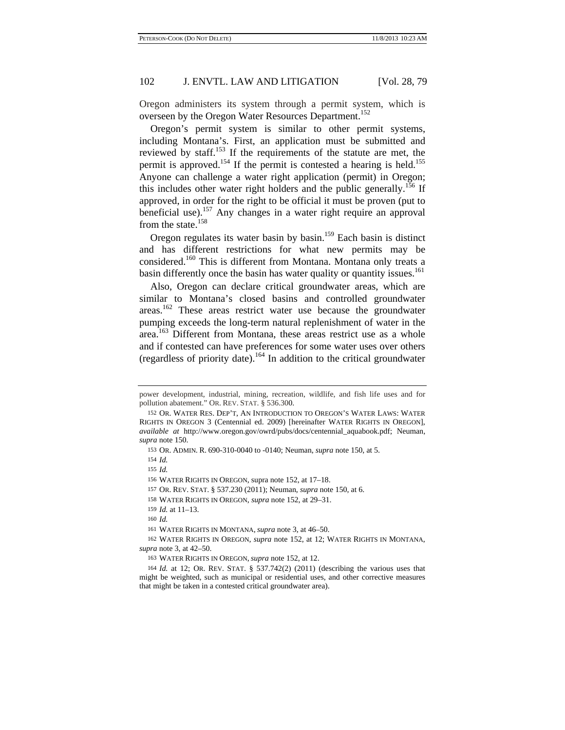Oregon administers its system through a permit system, which is overseen by the Oregon Water Resources Department.<sup>152</sup>

Oregon's permit system is similar to other permit systems, including Montana's. First, an application must be submitted and reviewed by staff.<sup>153</sup> If the requirements of the statute are met, the permit is approved.<sup>154</sup> If the permit is contested a hearing is held.<sup>155</sup> Anyone can challenge a water right application (permit) in Oregon; this includes other water right holders and the public generally.<sup>156</sup> If approved, in order for the right to be official it must be proven (put to beneficial use).<sup>157</sup> Any changes in a water right require an approval from the state. $158$ 

Oregon regulates its water basin by basin.<sup>159</sup> Each basin is distinct and has different restrictions for what new permits may be considered.<sup>160</sup> This is different from Montana. Montana only treats a basin differently once the basin has water quality or quantity issues.<sup>161</sup>

Also, Oregon can declare critical groundwater areas, which are similar to Montana's closed basins and controlled groundwater areas.162 These areas restrict water use because the groundwater pumping exceeds the long-term natural replenishment of water in the area.<sup>163</sup> Different from Montana, these areas restrict use as a whole and if contested can have preferences for some water uses over others (regardless of priority date).164 In addition to the critical groundwater

157 OR. REV. STAT. § 537.230 (2011); Neuman, *supra* note 150, at 6.

159 *Id.* at 11–13.

power development, industrial, mining, recreation, wildlife, and fish life uses and for pollution abatement." OR. REV. STAT. § 536.300.

<sup>152</sup> OR. WATER RES. DEP'T, AN INTRODUCTION TO OREGON'S WATER LAWS: WATER RIGHTS IN OREGON 3 (Centennial ed. 2009) [hereinafter WATER RIGHTS IN OREGON], *available at* http://www.oregon.gov/owrd/pubs/docs/centennial\_aquabook.pdf; Neuman, *supra* note 150.

<sup>153</sup> OR. ADMIN. R. 690-310-0040 to -0140; Neuman, *supra* note 150, at 5.

<sup>154</sup> *Id.*

<sup>155</sup> *Id.*

<sup>156</sup> WATER RIGHTS IN OREGON, supra note 152, at 17–18.

<sup>158</sup> WATER RIGHTS IN OREGON, *supra* note 152, at 29–31.

<sup>160</sup> *Id.*

<sup>161</sup> WATER RIGHTS IN MONTANA, *supra* note 3, at 46–50.

<sup>162</sup> WATER RIGHTS IN OREGON, *supra* note 152, at 12; WATER RIGHTS IN MONTANA, *supra* note 3, at 42–50.

<sup>163</sup> WATER RIGHTS IN OREGON, *supra* note 152, at 12.

<sup>164</sup> *Id.* at 12; OR. REV. STAT. § 537.742(2) (2011) (describing the various uses that might be weighted, such as municipal or residential uses, and other corrective measures that might be taken in a contested critical groundwater area).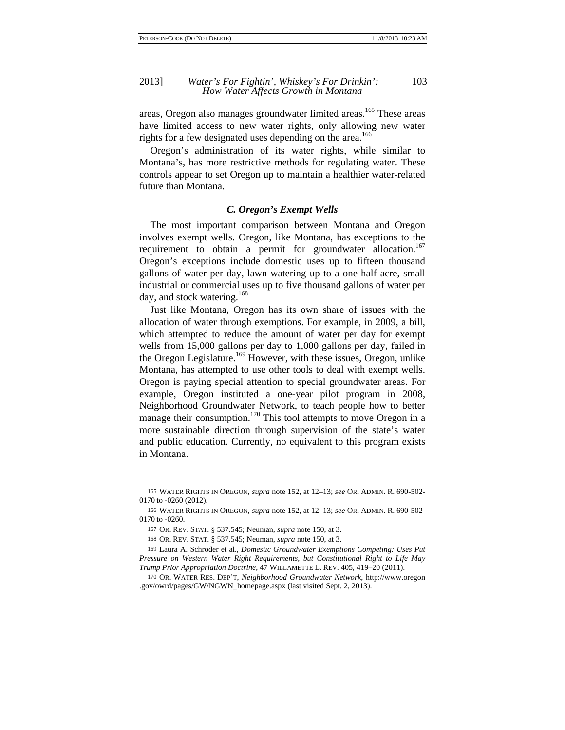areas, Oregon also manages groundwater limited areas.<sup>165</sup> These areas have limited access to new water rights, only allowing new water rights for a few designated uses depending on the area.<sup>166</sup>

Oregon's administration of its water rights, while similar to Montana's, has more restrictive methods for regulating water. These controls appear to set Oregon up to maintain a healthier water-related future than Montana.

### *C. Oregon's Exempt Wells*

The most important comparison between Montana and Oregon involves exempt wells. Oregon, like Montana, has exceptions to the requirement to obtain a permit for groundwater allocation.<sup>167</sup> Oregon's exceptions include domestic uses up to fifteen thousand gallons of water per day, lawn watering up to a one half acre, small industrial or commercial uses up to five thousand gallons of water per day, and stock watering.<sup>168</sup>

Just like Montana, Oregon has its own share of issues with the allocation of water through exemptions. For example, in 2009, a bill, which attempted to reduce the amount of water per day for exempt wells from 15,000 gallons per day to 1,000 gallons per day, failed in the Oregon Legislature.<sup>169</sup> However, with these issues, Oregon, unlike Montana, has attempted to use other tools to deal with exempt wells. Oregon is paying special attention to special groundwater areas. For example, Oregon instituted a one-year pilot program in 2008, Neighborhood Groundwater Network, to teach people how to better manage their consumption.<sup>170</sup> This tool attempts to move Oregon in a more sustainable direction through supervision of the state's water and public education. Currently, no equivalent to this program exists in Montana.

<sup>165</sup> WATER RIGHTS IN OREGON, *supra* note 152, at 12–13; *see* OR. ADMIN. R. 690-502- 0170 to -0260 (2012).

<sup>166</sup> WATER RIGHTS IN OREGON, *supra* note 152, at 12–13; *see* OR. ADMIN. R. 690-502- 0170 to -0260.

<sup>167</sup> OR. REV. STAT. § 537.545; Neuman, *supra* note 150, at 3.

<sup>168</sup> OR. REV. STAT. § 537.545; Neuman, *supra* note 150, at 3.

<sup>169</sup> Laura A. Schroder et al., *Domestic Groundwater Exemptions Competing: Uses Put Pressure on Western Water Right Requirements, but Constitutional Right to Life May Trump Prior Appropriation Doctrine*, 47 WILLAMETTE L. REV. 405, 419–20 (2011).

<sup>170</sup> OR. WATER RES. DEP'T, *Neighborhood Groundwater Network*, http://www.oregon .gov/owrd/pages/GW/NGWN\_homepage.aspx (last visited Sept. 2, 2013).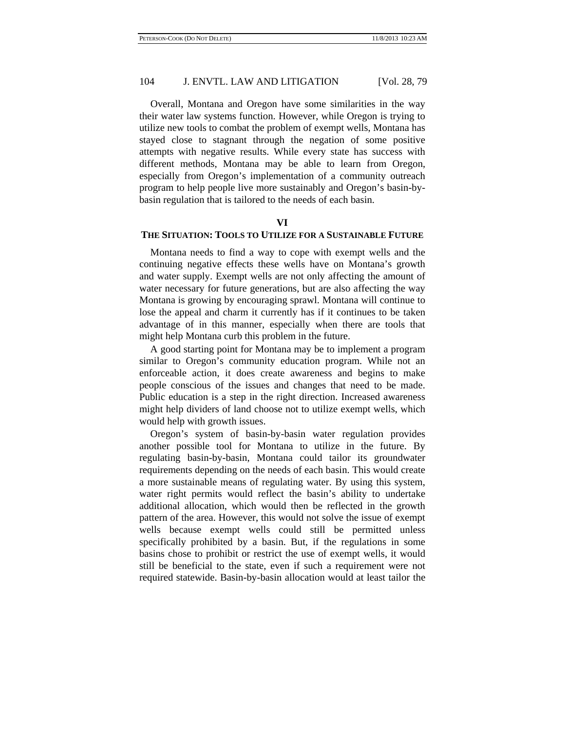Overall, Montana and Oregon have some similarities in the way their water law systems function. However, while Oregon is trying to utilize new tools to combat the problem of exempt wells, Montana has stayed close to stagnant through the negation of some positive attempts with negative results. While every state has success with different methods, Montana may be able to learn from Oregon, especially from Oregon's implementation of a community outreach program to help people live more sustainably and Oregon's basin-bybasin regulation that is tailored to the needs of each basin.

# **VI**

# **THE SITUATION: TOOLS TO UTILIZE FOR A SUSTAINABLE FUTURE**

Montana needs to find a way to cope with exempt wells and the continuing negative effects these wells have on Montana's growth and water supply. Exempt wells are not only affecting the amount of water necessary for future generations, but are also affecting the way Montana is growing by encouraging sprawl. Montana will continue to lose the appeal and charm it currently has if it continues to be taken advantage of in this manner, especially when there are tools that might help Montana curb this problem in the future.

A good starting point for Montana may be to implement a program similar to Oregon's community education program. While not an enforceable action, it does create awareness and begins to make people conscious of the issues and changes that need to be made. Public education is a step in the right direction. Increased awareness might help dividers of land choose not to utilize exempt wells, which would help with growth issues.

Oregon's system of basin-by-basin water regulation provides another possible tool for Montana to utilize in the future. By regulating basin-by-basin, Montana could tailor its groundwater requirements depending on the needs of each basin. This would create a more sustainable means of regulating water. By using this system, water right permits would reflect the basin's ability to undertake additional allocation, which would then be reflected in the growth pattern of the area. However, this would not solve the issue of exempt wells because exempt wells could still be permitted unless specifically prohibited by a basin. But, if the regulations in some basins chose to prohibit or restrict the use of exempt wells, it would still be beneficial to the state, even if such a requirement were not required statewide. Basin-by-basin allocation would at least tailor the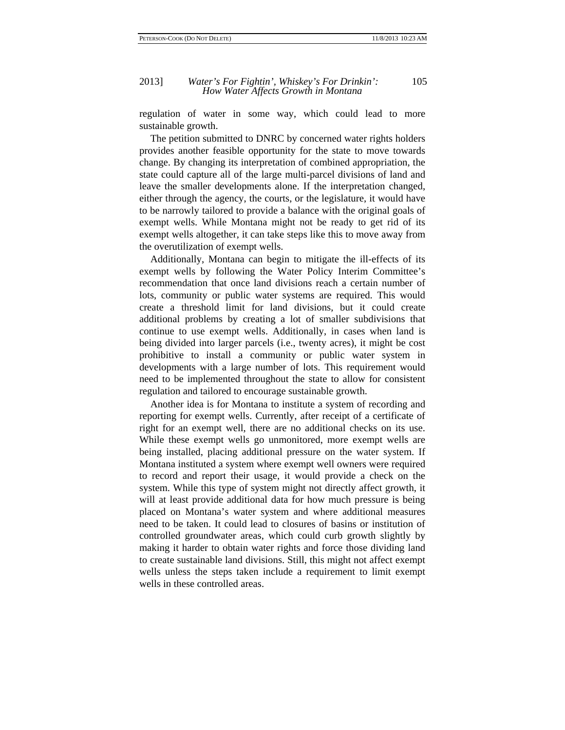regulation of water in some way, which could lead to more sustainable growth.

The petition submitted to DNRC by concerned water rights holders provides another feasible opportunity for the state to move towards change. By changing its interpretation of combined appropriation, the state could capture all of the large multi-parcel divisions of land and leave the smaller developments alone. If the interpretation changed, either through the agency, the courts, or the legislature, it would have to be narrowly tailored to provide a balance with the original goals of exempt wells. While Montana might not be ready to get rid of its exempt wells altogether, it can take steps like this to move away from the overutilization of exempt wells.

Additionally, Montana can begin to mitigate the ill-effects of its exempt wells by following the Water Policy Interim Committee's recommendation that once land divisions reach a certain number of lots, community or public water systems are required. This would create a threshold limit for land divisions, but it could create additional problems by creating a lot of smaller subdivisions that continue to use exempt wells. Additionally, in cases when land is being divided into larger parcels (i.e., twenty acres), it might be cost prohibitive to install a community or public water system in developments with a large number of lots. This requirement would need to be implemented throughout the state to allow for consistent regulation and tailored to encourage sustainable growth.

Another idea is for Montana to institute a system of recording and reporting for exempt wells. Currently, after receipt of a certificate of right for an exempt well, there are no additional checks on its use. While these exempt wells go unmonitored, more exempt wells are being installed, placing additional pressure on the water system. If Montana instituted a system where exempt well owners were required to record and report their usage, it would provide a check on the system. While this type of system might not directly affect growth, it will at least provide additional data for how much pressure is being placed on Montana's water system and where additional measures need to be taken. It could lead to closures of basins or institution of controlled groundwater areas, which could curb growth slightly by making it harder to obtain water rights and force those dividing land to create sustainable land divisions. Still, this might not affect exempt wells unless the steps taken include a requirement to limit exempt wells in these controlled areas.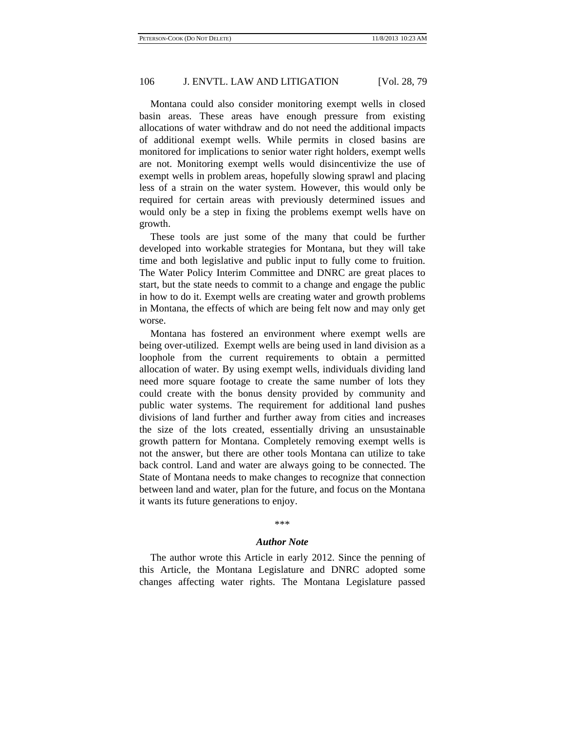Montana could also consider monitoring exempt wells in closed basin areas. These areas have enough pressure from existing allocations of water withdraw and do not need the additional impacts of additional exempt wells. While permits in closed basins are monitored for implications to senior water right holders, exempt wells are not. Monitoring exempt wells would disincentivize the use of exempt wells in problem areas, hopefully slowing sprawl and placing less of a strain on the water system. However, this would only be required for certain areas with previously determined issues and would only be a step in fixing the problems exempt wells have on growth.

These tools are just some of the many that could be further developed into workable strategies for Montana, but they will take time and both legislative and public input to fully come to fruition. The Water Policy Interim Committee and DNRC are great places to start, but the state needs to commit to a change and engage the public in how to do it. Exempt wells are creating water and growth problems in Montana, the effects of which are being felt now and may only get worse.

Montana has fostered an environment where exempt wells are being over-utilized. Exempt wells are being used in land division as a loophole from the current requirements to obtain a permitted allocation of water. By using exempt wells, individuals dividing land need more square footage to create the same number of lots they could create with the bonus density provided by community and public water systems. The requirement for additional land pushes divisions of land further and further away from cities and increases the size of the lots created, essentially driving an unsustainable growth pattern for Montana. Completely removing exempt wells is not the answer, but there are other tools Montana can utilize to take back control. Land and water are always going to be connected. The State of Montana needs to make changes to recognize that connection between land and water, plan for the future, and focus on the Montana it wants its future generations to enjoy.

#### \*\*\*

### *Author Note*

The author wrote this Article in early 2012. Since the penning of this Article, the Montana Legislature and DNRC adopted some changes affecting water rights. The Montana Legislature passed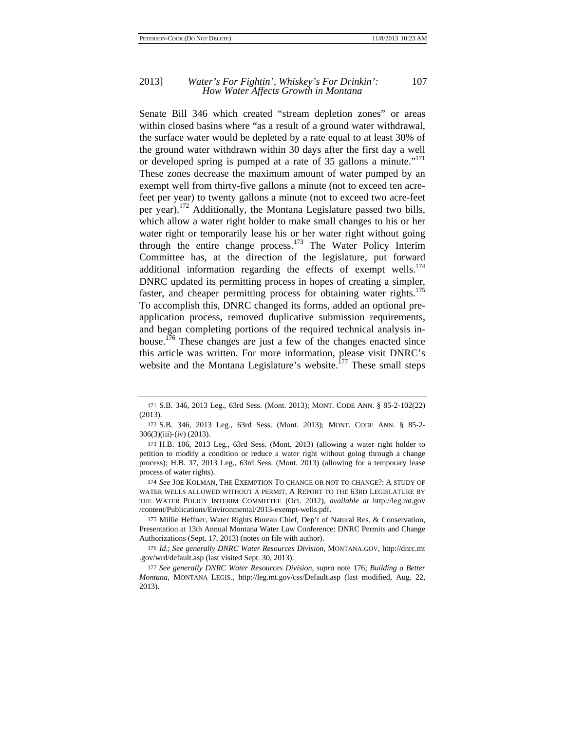### 2013] *Water's For Fightin', Whiskey's For Drinkin':* 107 *How Water Affects Growth in Montana*

Senate Bill 346 which created "stream depletion zones" or areas within closed basins where "as a result of a ground water withdrawal, the surface water would be depleted by a rate equal to at least 30% of the ground water withdrawn within 30 days after the first day a well or developed spring is pumped at a rate of 35 gallons a minute."<sup>171</sup> These zones decrease the maximum amount of water pumped by an exempt well from thirty-five gallons a minute (not to exceed ten acrefeet per year) to twenty gallons a minute (not to exceed two acre-feet per year).172 Additionally, the Montana Legislature passed two bills, which allow a water right holder to make small changes to his or her water right or temporarily lease his or her water right without going through the entire change process.<sup>173</sup> The Water Policy Interim Committee has, at the direction of the legislature, put forward additional information regarding the effects of exempt wells. $174$ DNRC updated its permitting process in hopes of creating a simpler, faster, and cheaper permitting process for obtaining water rights.<sup>175</sup> To accomplish this, DNRC changed its forms, added an optional preapplication process, removed duplicative submission requirements, and began completing portions of the required technical analysis inhouse.<sup>176</sup> These changes are just a few of the changes enacted since this article was written. For more information, please visit DNRC's website and the Montana Legislature's website. $^{177}$  These small steps

174 *See* JOE KOLMAN, THE EXEMPTION TO CHANGE OR NOT TO CHANGE?: A STUDY OF WATER WELLS ALLOWED WITHOUT A PERMIT, A REPORT TO THE 63RD LEGISLATURE BY THE WATER POLICY INTERIM COMMITTEE (Oct. 2012), *available at* http://leg.mt.gov /content/Publications/Environmental/2013-exempt-wells.pdf.

175 Millie Heffner, Water Rights Bureau Chief, Dep't of Natural Res. & Conservation, Presentation at 13th Annual Montana Water Law Conference: DNRC Permits and Change Authorizations (Sept. 17, 2013) (notes on file with author).

176 *Id.*; *See generally DNRC Water Resources Division*, MONTANA.GOV, http://dnrc.mt .gov/wrd/default.asp (last visited Sept. 30, 2013).

<sup>171</sup> S.B. 346, 2013 Leg., 63rd Sess. (Mont. 2013); MONT. CODE ANN. § 85-2-102(22) (2013).

<sup>172</sup> S.B. 346, 2013 Leg., 63rd Sess. (Mont. 2013); MONT. CODE ANN. § 85-2- 306(3)(iii)-(iv) (2013).

<sup>173</sup> H.B. 106, 2013 Leg., 63rd Sess. (Mont. 2013) (allowing a water right holder to petition to modify a condition or reduce a water right without going through a change process); H.B. 37, 2013 Leg., 63rd Sess. (Mont. 2013) (allowing for a temporary lease process of water rights).

<sup>177</sup> *See generally DNRC Water Resources Division, supra* note 176; *Building a Better Montana*, MONTANA LEGIS., http://leg.mt.gov/css/Default.asp (last modified, Aug. 22, 2013).